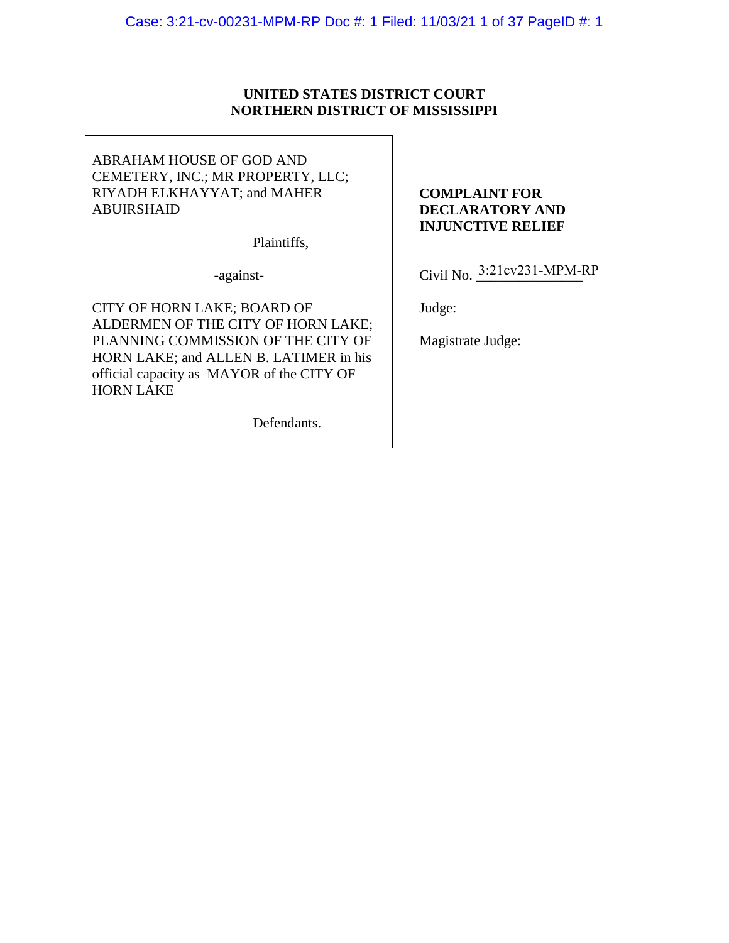# **UNITED STATES DISTRICT COURT NORTHERN DISTRICT OF MISSISSIPPI**

# ABRAHAM HOUSE OF GOD AND CEMETERY, INC.; MR PROPERTY, LLC; RIYADH ELKHAYYAT; and MAHER ABUIRSHAID

Plaintiffs,

-against-

CITY OF HORN LAKE; BOARD OF ALDERMEN OF THE CITY OF HORN LAKE; PLANNING COMMISSION OF THE CITY OF HORN LAKE; and ALLEN B. LATIMER in his official capacity as MAYOR of the CITY OF HORN LAKE

**COMPLAINT FOR DECLARATORY AND INJUNCTIVE RELIEF** 

Civil No. 3:21cv231-MPM-RP

Judge:

Magistrate Judge:

Defendants.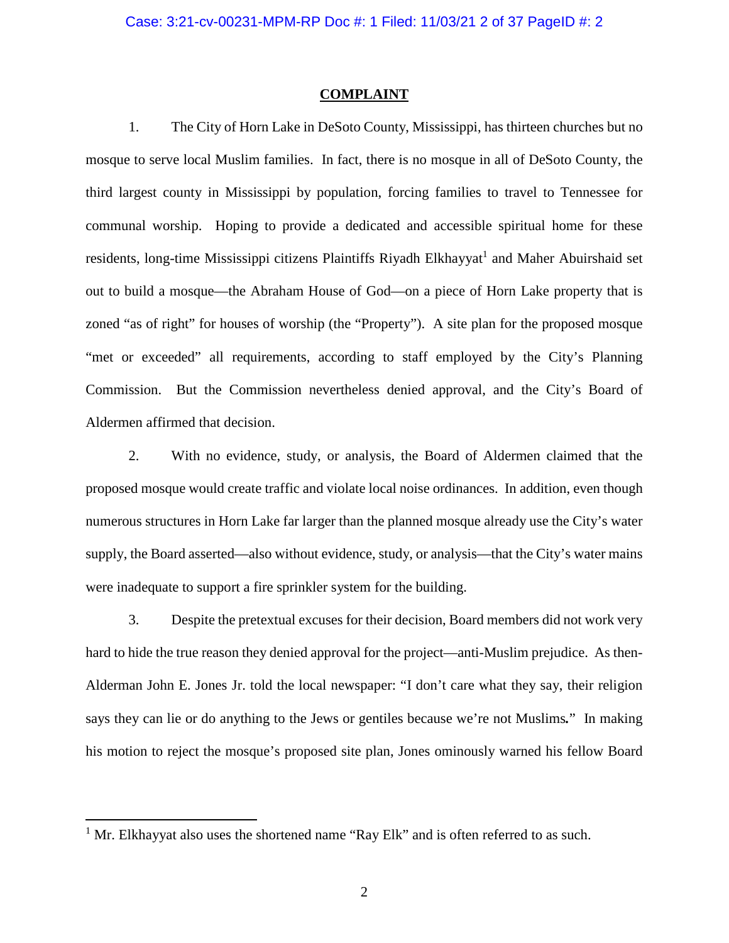#### **COMPLAINT**

1. The City of Horn Lake in DeSoto County, Mississippi, has thirteen churches but no mosque to serve local Muslim families. In fact, there is no mosque in all of DeSoto County, the third largest county in Mississippi by population, forcing families to travel to Tennessee for communal worship. Hoping to provide a dedicated and accessible spiritual home for these residents, long-time Mississippi citizens Plaintiffs Riyadh Elkhayyat<sup>1</sup> and Maher Abuirshaid set out to build a mosque—the Abraham House of God—on a piece of Horn Lake property that is zoned "as of right" for houses of worship (the "Property"). A site plan for the proposed mosque "met or exceeded" all requirements, according to staff employed by the City's Planning Commission. But the Commission nevertheless denied approval, and the City's Board of Aldermen affirmed that decision.

2. With no evidence, study, or analysis, the Board of Aldermen claimed that the proposed mosque would create traffic and violate local noise ordinances. In addition, even though numerous structures in Horn Lake far larger than the planned mosque already use the City's water supply, the Board asserted—also without evidence, study, or analysis—that the City's water mains were inadequate to support a fire sprinkler system for the building.

3. Despite the pretextual excuses for their decision, Board members did not work very hard to hide the true reason they denied approval for the project—anti-Muslim prejudice. As then-Alderman John E. Jones Jr. told the local newspaper: "I don't care what they say, their religion says they can lie or do anything to the Jews or gentiles because we're not Muslims*.*" In making his motion to reject the mosque's proposed site plan, Jones ominously warned his fellow Board

<sup>&</sup>lt;sup>1</sup> Mr. Elkhayyat also uses the shortened name "Ray Elk" and is often referred to as such.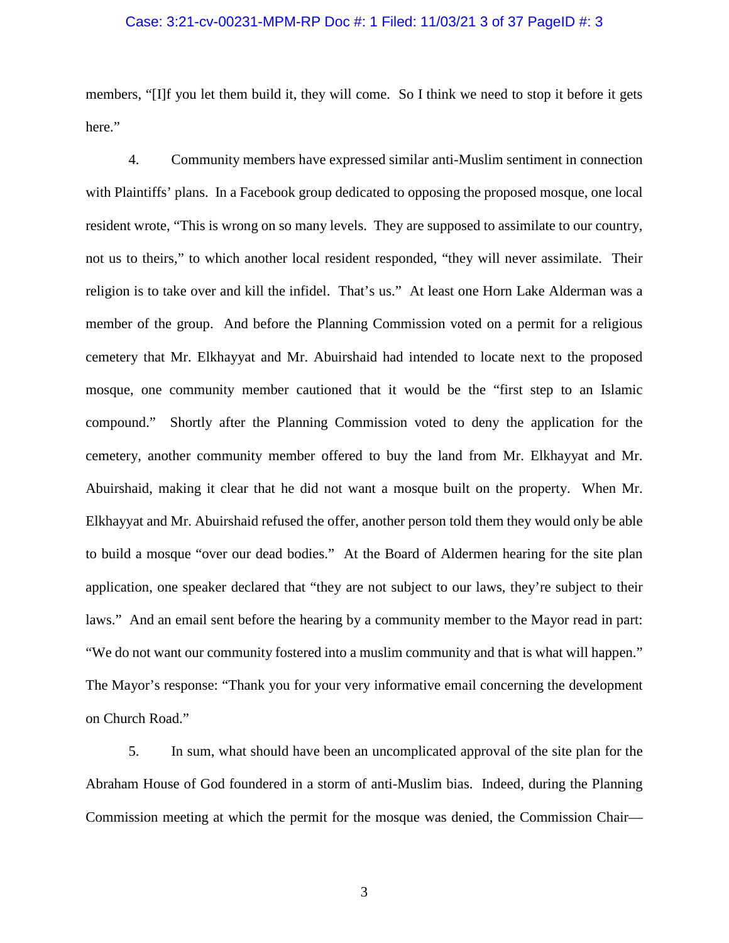### Case: 3:21-cv-00231-MPM-RP Doc #: 1 Filed: 11/03/21 3 of 37 PageID #: 3

members, "[I]f you let them build it, they will come. So I think we need to stop it before it gets here."

4. Community members have expressed similar anti-Muslim sentiment in connection with Plaintiffs' plans. In a Facebook group dedicated to opposing the proposed mosque, one local resident wrote, "This is wrong on so many levels. They are supposed to assimilate to our country, not us to theirs," to which another local resident responded, "they will never assimilate. Their religion is to take over and kill the infidel. That's us." At least one Horn Lake Alderman was a member of the group. And before the Planning Commission voted on a permit for a religious cemetery that Mr. Elkhayyat and Mr. Abuirshaid had intended to locate next to the proposed mosque, one community member cautioned that it would be the "first step to an Islamic compound." Shortly after the Planning Commission voted to deny the application for the cemetery, another community member offered to buy the land from Mr. Elkhayyat and Mr. Abuirshaid, making it clear that he did not want a mosque built on the property. When Mr. Elkhayyat and Mr. Abuirshaid refused the offer, another person told them they would only be able to build a mosque "over our dead bodies." At the Board of Aldermen hearing for the site plan application, one speaker declared that "they are not subject to our laws, they're subject to their laws." And an email sent before the hearing by a community member to the Mayor read in part: "We do not want our community fostered into a muslim community and that is what will happen." The Mayor's response: "Thank you for your very informative email concerning the development on Church Road."

5. In sum, what should have been an uncomplicated approval of the site plan for the Abraham House of God foundered in a storm of anti-Muslim bias. Indeed, during the Planning Commission meeting at which the permit for the mosque was denied, the Commission Chair—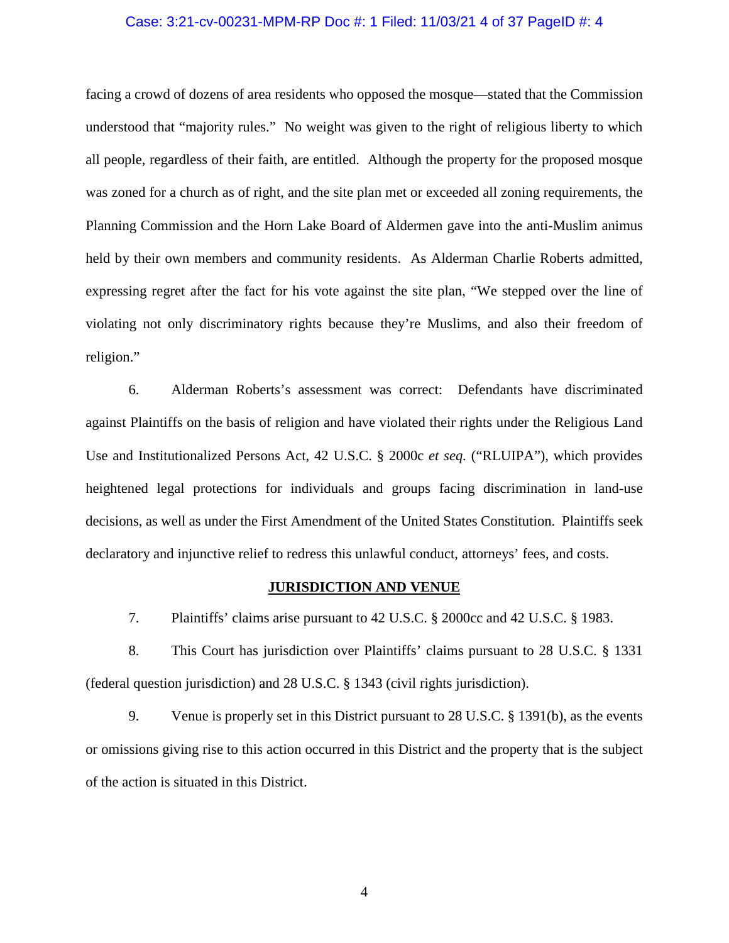### Case: 3:21-cv-00231-MPM-RP Doc #: 1 Filed: 11/03/21 4 of 37 PageID #: 4

facing a crowd of dozens of area residents who opposed the mosque—stated that the Commission understood that "majority rules." No weight was given to the right of religious liberty to which all people, regardless of their faith, are entitled. Although the property for the proposed mosque was zoned for a church as of right, and the site plan met or exceeded all zoning requirements, the Planning Commission and the Horn Lake Board of Aldermen gave into the anti-Muslim animus held by their own members and community residents. As Alderman Charlie Roberts admitted, expressing regret after the fact for his vote against the site plan, "We stepped over the line of violating not only discriminatory rights because they're Muslims, and also their freedom of religion."

6. Alderman Roberts's assessment was correct: Defendants have discriminated against Plaintiffs on the basis of religion and have violated their rights under the Religious Land Use and Institutionalized Persons Act, 42 U.S.C. § 2000c *et seq.* ("RLUIPA"), which provides heightened legal protections for individuals and groups facing discrimination in land-use decisions, as well as under the First Amendment of the United States Constitution. Plaintiffs seek declaratory and injunctive relief to redress this unlawful conduct, attorneys' fees, and costs.

### **JURISDICTION AND VENUE**

7. Plaintiffs' claims arise pursuant to 42 U.S.C. § 2000cc and 42 U.S.C. § 1983.

8. This Court has jurisdiction over Plaintiffs' claims pursuant to 28 U.S.C. § 1331 (federal question jurisdiction) and 28 U.S.C. § 1343 (civil rights jurisdiction).

9. Venue is properly set in this District pursuant to 28 U.S.C. § 1391(b), as the events or omissions giving rise to this action occurred in this District and the property that is the subject of the action is situated in this District.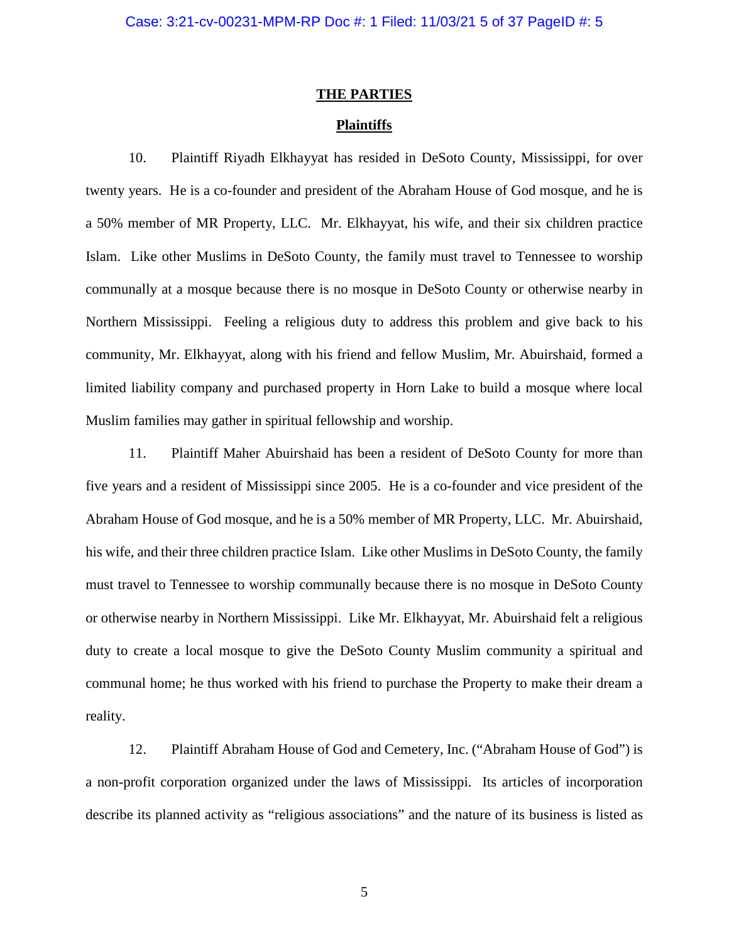#### **THE PARTIES**

### **Plaintiffs**

10. Plaintiff Riyadh Elkhayyat has resided in DeSoto County, Mississippi, for over twenty years. He is a co-founder and president of the Abraham House of God mosque, and he is a 50% member of MR Property, LLC. Mr. Elkhayyat, his wife, and their six children practice Islam. Like other Muslims in DeSoto County, the family must travel to Tennessee to worship communally at a mosque because there is no mosque in DeSoto County or otherwise nearby in Northern Mississippi. Feeling a religious duty to address this problem and give back to his community, Mr. Elkhayyat, along with his friend and fellow Muslim, Mr. Abuirshaid, formed a limited liability company and purchased property in Horn Lake to build a mosque where local Muslim families may gather in spiritual fellowship and worship.

11. Plaintiff Maher Abuirshaid has been a resident of DeSoto County for more than five years and a resident of Mississippi since 2005. He is a co-founder and vice president of the Abraham House of God mosque, and he is a 50% member of MR Property, LLC. Mr. Abuirshaid, his wife, and their three children practice Islam. Like other Muslims in DeSoto County, the family must travel to Tennessee to worship communally because there is no mosque in DeSoto County or otherwise nearby in Northern Mississippi. Like Mr. Elkhayyat, Mr. Abuirshaid felt a religious duty to create a local mosque to give the DeSoto County Muslim community a spiritual and communal home; he thus worked with his friend to purchase the Property to make their dream a reality.

12. Plaintiff Abraham House of God and Cemetery, Inc. ("Abraham House of God") is a non-profit corporation organized under the laws of Mississippi. Its articles of incorporation describe its planned activity as "religious associations" and the nature of its business is listed as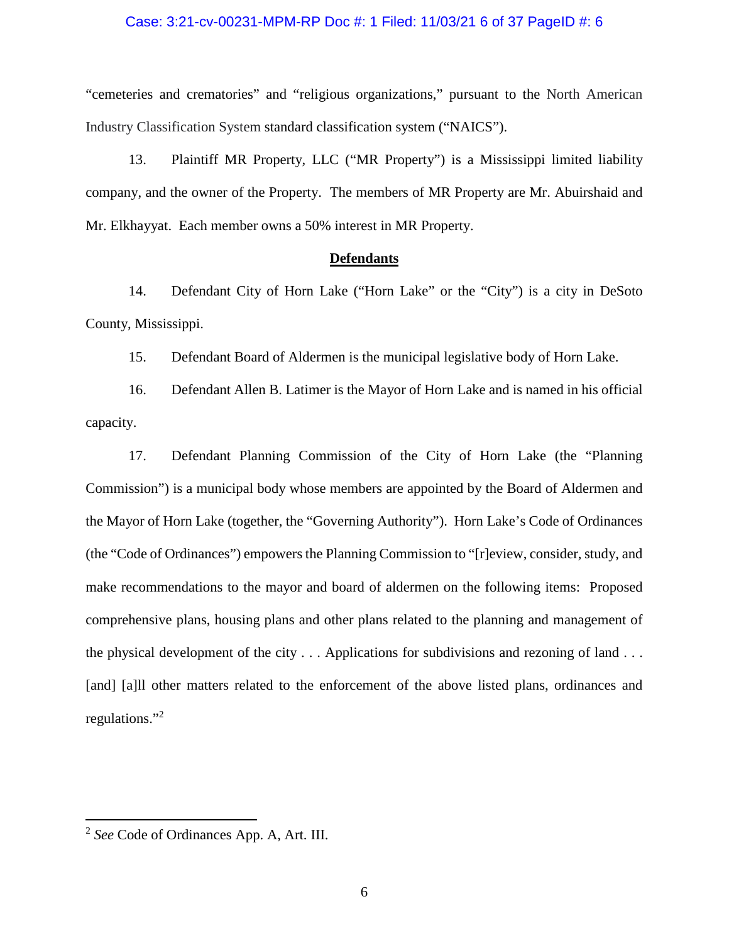### Case: 3:21-cv-00231-MPM-RP Doc #: 1 Filed: 11/03/21 6 of 37 PageID #: 6

"cemeteries and crematories" and "religious organizations," pursuant to the North American Industry Classification System standard classification system ("NAICS").

13. Plaintiff MR Property, LLC ("MR Property") is a Mississippi limited liability company, and the owner of the Property. The members of MR Property are Mr. Abuirshaid and Mr. Elkhayyat. Each member owns a 50% interest in MR Property.

### **Defendants**

14. Defendant City of Horn Lake ("Horn Lake" or the "City") is a city in DeSoto County, Mississippi.

15. Defendant Board of Aldermen is the municipal legislative body of Horn Lake.

16. Defendant Allen B. Latimer is the Mayor of Horn Lake and is named in his official capacity.

17. Defendant Planning Commission of the City of Horn Lake (the "Planning Commission") is a municipal body whose members are appointed by the Board of Aldermen and the Mayor of Horn Lake (together, the "Governing Authority"). Horn Lake's Code of Ordinances (the "Code of Ordinances") empowers the Planning Commission to "[r]eview, consider, study, and make recommendations to the mayor and board of aldermen on the following items: Proposed comprehensive plans, housing plans and other plans related to the planning and management of the physical development of the city . . . Applications for subdivisions and rezoning of land . . . [and] [a]ll other matters related to the enforcement of the above listed plans, ordinances and regulations."<sup>2</sup>

<sup>2</sup> *See* Code of Ordinances App. A, Art. III.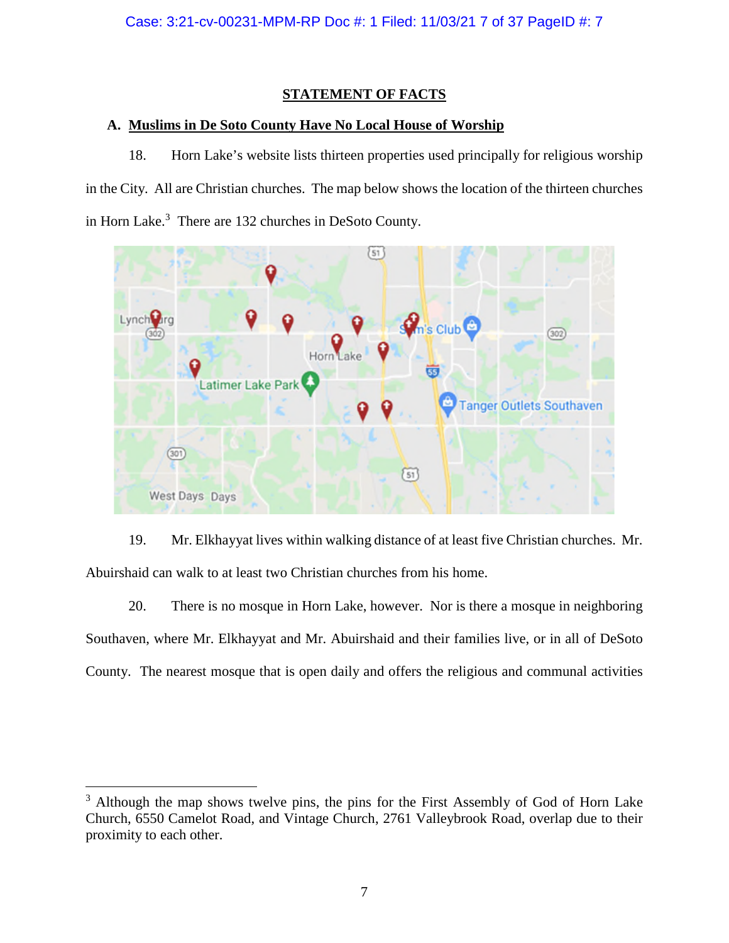# **STATEMENT OF FACTS**

# **A. Muslims in De Soto County Have No Local House of Worship**

18. Horn Lake's website lists thirteen properties used principally for religious worship in the City. All are Christian churches. The map below shows the location of the thirteen churches in Horn Lake.<sup>3</sup> There are 132 churches in DeSoto County.



19. Mr. Elkhayyat lives within walking distance of at least five Christian churches. Mr. Abuirshaid can walk to at least two Christian churches from his home.

20. There is no mosque in Horn Lake, however. Nor is there a mosque in neighboring Southaven, where Mr. Elkhayyat and Mr. Abuirshaid and their families live, or in all of DeSoto County. The nearest mosque that is open daily and offers the religious and communal activities

<sup>&</sup>lt;sup>3</sup> Although the map shows twelve pins, the pins for the First Assembly of God of Horn Lake Church, 6550 Camelot Road, and Vintage Church, 2761 Valleybrook Road, overlap due to their proximity to each other.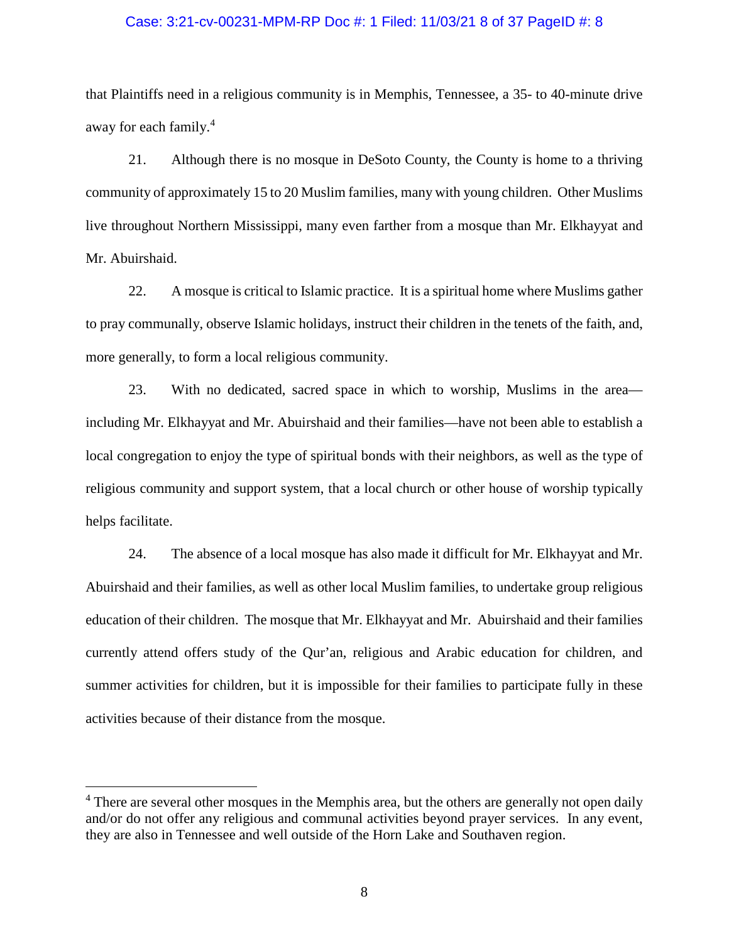### Case: 3:21-cv-00231-MPM-RP Doc #: 1 Filed: 11/03/21 8 of 37 PageID #: 8

that Plaintiffs need in a religious community is in Memphis, Tennessee, a 35- to 40-minute drive away for each family.<sup>4</sup>

21. Although there is no mosque in DeSoto County, the County is home to a thriving community of approximately 15 to 20 Muslim families, many with young children. Other Muslims live throughout Northern Mississippi, many even farther from a mosque than Mr. Elkhayyat and Mr. Abuirshaid.

22. A mosque is critical to Islamic practice. It is a spiritual home where Muslims gather to pray communally, observe Islamic holidays, instruct their children in the tenets of the faith, and, more generally, to form a local religious community.

23. With no dedicated, sacred space in which to worship, Muslims in the area including Mr. Elkhayyat and Mr. Abuirshaid and their families—have not been able to establish a local congregation to enjoy the type of spiritual bonds with their neighbors, as well as the type of religious community and support system, that a local church or other house of worship typically helps facilitate.

24. The absence of a local mosque has also made it difficult for Mr. Elkhayyat and Mr. Abuirshaid and their families, as well as other local Muslim families, to undertake group religious education of their children. The mosque that Mr. Elkhayyat and Mr. Abuirshaid and their families currently attend offers study of the Qur'an, religious and Arabic education for children, and summer activities for children, but it is impossible for their families to participate fully in these activities because of their distance from the mosque.

<sup>&</sup>lt;sup>4</sup> There are several other mosques in the Memphis area, but the others are generally not open daily and/or do not offer any religious and communal activities beyond prayer services. In any event, they are also in Tennessee and well outside of the Horn Lake and Southaven region.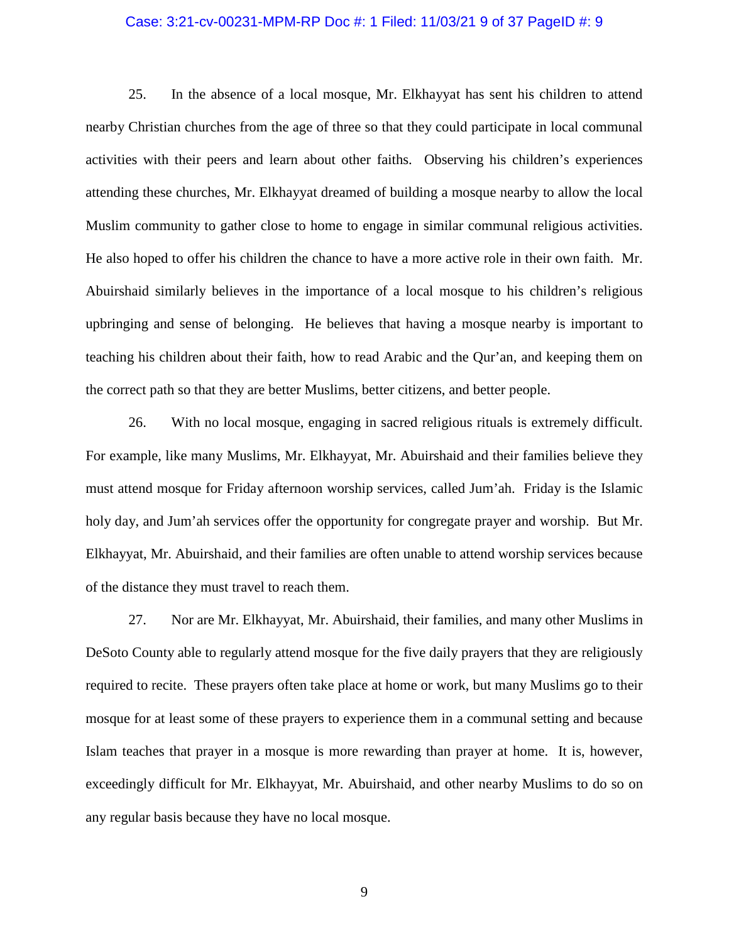### Case: 3:21-cv-00231-MPM-RP Doc #: 1 Filed: 11/03/21 9 of 37 PageID #: 9

25. In the absence of a local mosque, Mr. Elkhayyat has sent his children to attend nearby Christian churches from the age of three so that they could participate in local communal activities with their peers and learn about other faiths. Observing his children's experiences attending these churches, Mr. Elkhayyat dreamed of building a mosque nearby to allow the local Muslim community to gather close to home to engage in similar communal religious activities. He also hoped to offer his children the chance to have a more active role in their own faith. Mr. Abuirshaid similarly believes in the importance of a local mosque to his children's religious upbringing and sense of belonging. He believes that having a mosque nearby is important to teaching his children about their faith, how to read Arabic and the Qur'an, and keeping them on the correct path so that they are better Muslims, better citizens, and better people.

26. With no local mosque, engaging in sacred religious rituals is extremely difficult. For example, like many Muslims, Mr. Elkhayyat, Mr. Abuirshaid and their families believe they must attend mosque for Friday afternoon worship services, called Jum'ah. Friday is the Islamic holy day, and Jum'ah services offer the opportunity for congregate prayer and worship. But Mr. Elkhayyat, Mr. Abuirshaid, and their families are often unable to attend worship services because of the distance they must travel to reach them.

27. Nor are Mr. Elkhayyat, Mr. Abuirshaid, their families, and many other Muslims in DeSoto County able to regularly attend mosque for the five daily prayers that they are religiously required to recite. These prayers often take place at home or work, but many Muslims go to their mosque for at least some of these prayers to experience them in a communal setting and because Islam teaches that prayer in a mosque is more rewarding than prayer at home. It is, however, exceedingly difficult for Mr. Elkhayyat, Mr. Abuirshaid, and other nearby Muslims to do so on any regular basis because they have no local mosque.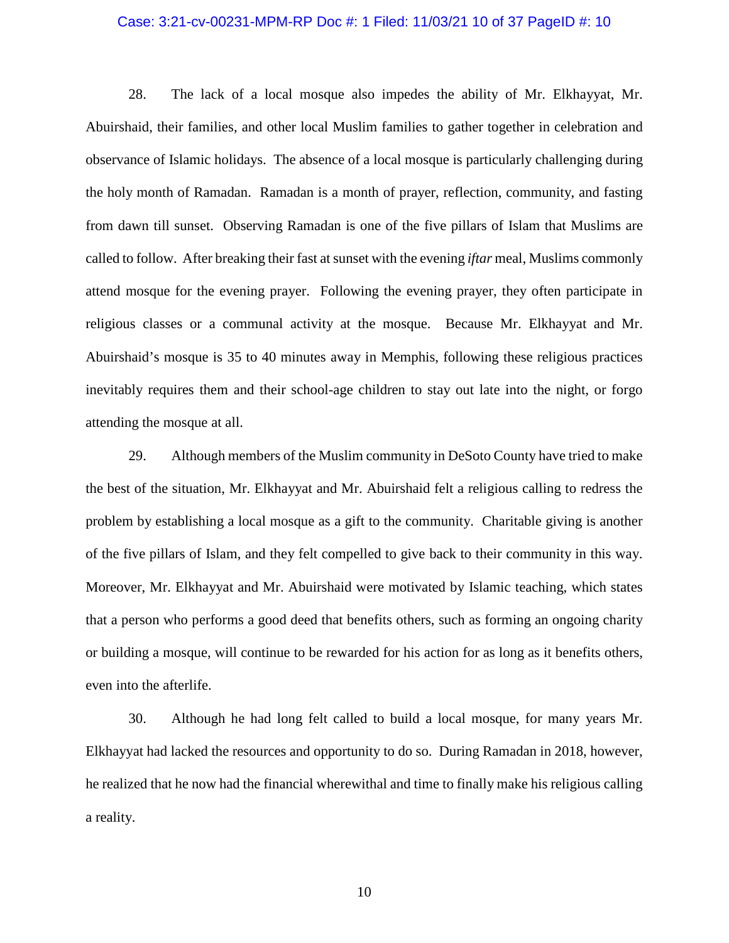### Case: 3:21-cv-00231-MPM-RP Doc #: 1 Filed: 11/03/21 10 of 37 PageID #: 10

28. The lack of a local mosque also impedes the ability of Mr. Elkhayyat, Mr. Abuirshaid, their families, and other local Muslim families to gather together in celebration and observance of Islamic holidays. The absence of a local mosque is particularly challenging during the holy month of Ramadan. Ramadan is a month of prayer, reflection, community, and fasting from dawn till sunset. Observing Ramadan is one of the five pillars of Islam that Muslims are called to follow. After breaking their fast at sunset with the evening *iftar* meal, Muslims commonly attend mosque for the evening prayer. Following the evening prayer, they often participate in religious classes or a communal activity at the mosque. Because Mr. Elkhayyat and Mr. Abuirshaid's mosque is 35 to 40 minutes away in Memphis, following these religious practices inevitably requires them and their school-age children to stay out late into the night, or forgo attending the mosque at all.

29. Although members of the Muslim community in DeSoto County have tried to make the best of the situation, Mr. Elkhayyat and Mr. Abuirshaid felt a religious calling to redress the problem by establishing a local mosque as a gift to the community. Charitable giving is another of the five pillars of Islam, and they felt compelled to give back to their community in this way. Moreover, Mr. Elkhayyat and Mr. Abuirshaid were motivated by Islamic teaching, which states that a person who performs a good deed that benefits others, such as forming an ongoing charity or building a mosque, will continue to be rewarded for his action for as long as it benefits others, even into the afterlife.

30. Although he had long felt called to build a local mosque, for many years Mr. Elkhayyat had lacked the resources and opportunity to do so. During Ramadan in 2018, however, he realized that he now had the financial wherewithal and time to finally make his religious calling a reality.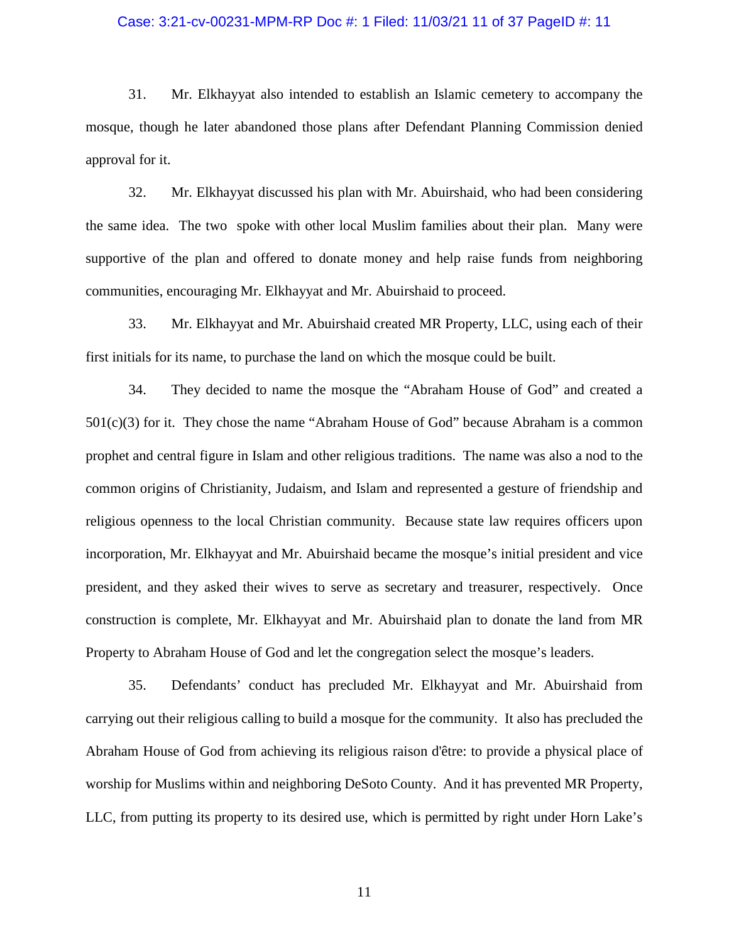### Case: 3:21-cv-00231-MPM-RP Doc #: 1 Filed: 11/03/21 11 of 37 PageID #: 11

31. Mr. Elkhayyat also intended to establish an Islamic cemetery to accompany the mosque, though he later abandoned those plans after Defendant Planning Commission denied approval for it.

32. Mr. Elkhayyat discussed his plan with Mr. Abuirshaid, who had been considering the same idea. The two spoke with other local Muslim families about their plan. Many were supportive of the plan and offered to donate money and help raise funds from neighboring communities, encouraging Mr. Elkhayyat and Mr. Abuirshaid to proceed.

33. Mr. Elkhayyat and Mr. Abuirshaid created MR Property, LLC, using each of their first initials for its name, to purchase the land on which the mosque could be built.

34. They decided to name the mosque the "Abraham House of God" and created a  $501(c)(3)$  for it. They chose the name "Abraham House of God" because Abraham is a common prophet and central figure in Islam and other religious traditions. The name was also a nod to the common origins of Christianity, Judaism, and Islam and represented a gesture of friendship and religious openness to the local Christian community. Because state law requires officers upon incorporation, Mr. Elkhayyat and Mr. Abuirshaid became the mosque's initial president and vice president, and they asked their wives to serve as secretary and treasurer, respectively. Once construction is complete, Mr. Elkhayyat and Mr. Abuirshaid plan to donate the land from MR Property to Abraham House of God and let the congregation select the mosque's leaders.

35. Defendants' conduct has precluded Mr. Elkhayyat and Mr. Abuirshaid from carrying out their religious calling to build a mosque for the community. It also has precluded the Abraham House of God from achieving its religious raison d'être: to provide a physical place of worship for Muslims within and neighboring DeSoto County. And it has prevented MR Property, LLC, from putting its property to its desired use, which is permitted by right under Horn Lake's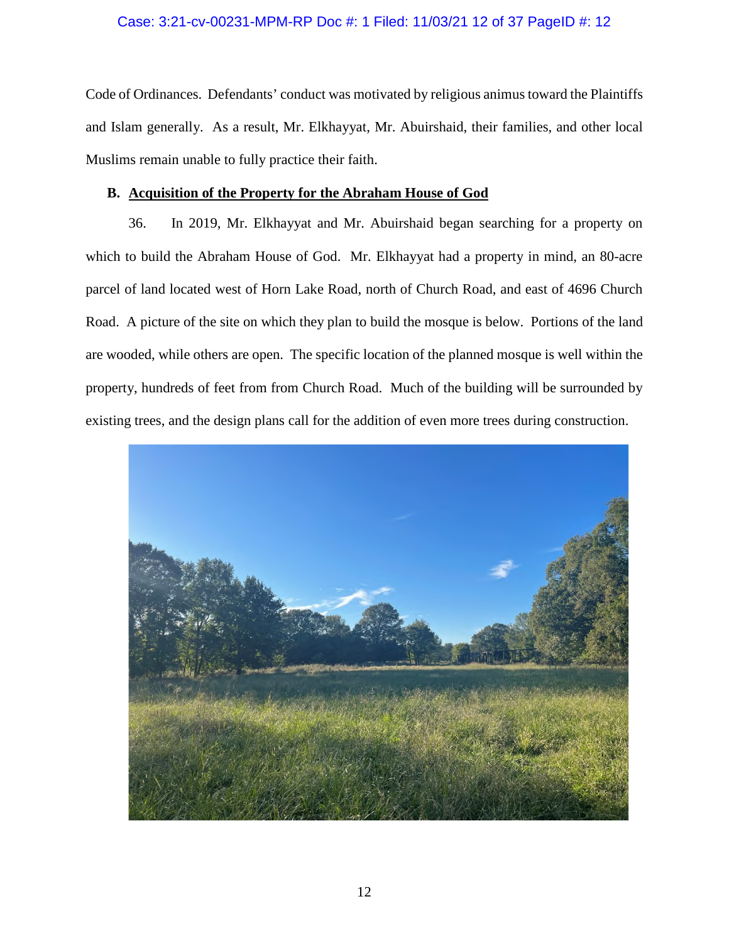### Case: 3:21-cv-00231-MPM-RP Doc #: 1 Filed: 11/03/21 12 of 37 PageID #: 12

Code of Ordinances. Defendants' conduct was motivated by religious animus toward the Plaintiffs and Islam generally. As a result, Mr. Elkhayyat, Mr. Abuirshaid, their families, and other local Muslims remain unable to fully practice their faith.

### **B. Acquisition of the Property for the Abraham House of God**

36. In 2019, Mr. Elkhayyat and Mr. Abuirshaid began searching for a property on which to build the Abraham House of God. Mr. Elkhayyat had a property in mind, an 80-acre parcel of land located west of Horn Lake Road, north of Church Road, and east of 4696 Church Road. A picture of the site on which they plan to build the mosque is below. Portions of the land are wooded, while others are open. The specific location of the planned mosque is well within the property, hundreds of feet from from Church Road. Much of the building will be surrounded by existing trees, and the design plans call for the addition of even more trees during construction.

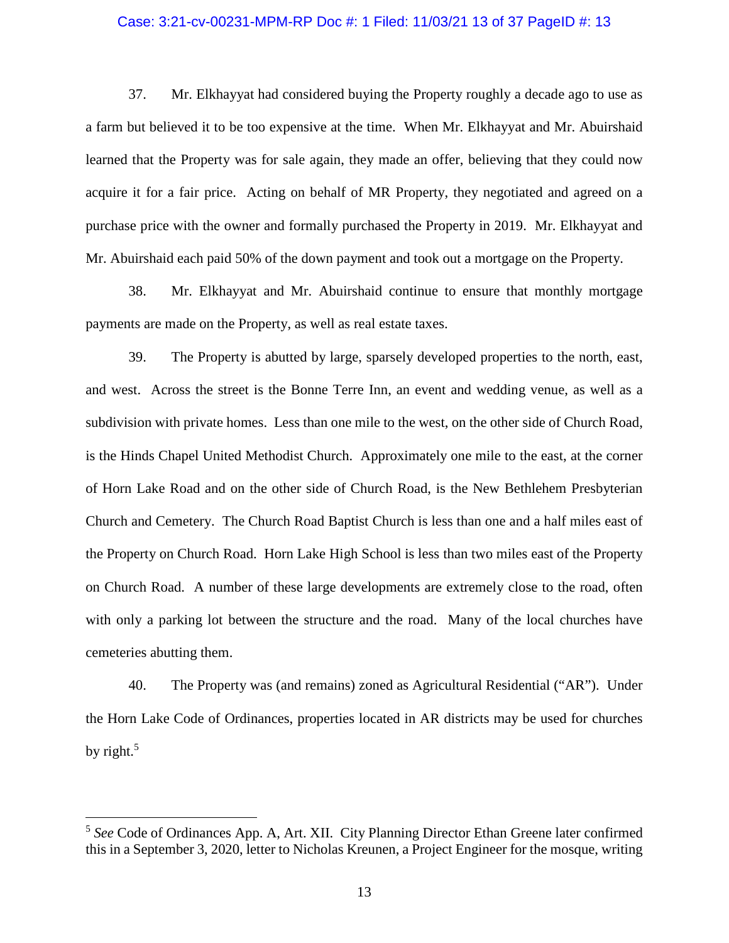### Case: 3:21-cv-00231-MPM-RP Doc #: 1 Filed: 11/03/21 13 of 37 PageID #: 13

37. Mr. Elkhayyat had considered buying the Property roughly a decade ago to use as a farm but believed it to be too expensive at the time. When Mr. Elkhayyat and Mr. Abuirshaid learned that the Property was for sale again, they made an offer, believing that they could now acquire it for a fair price. Acting on behalf of MR Property, they negotiated and agreed on a purchase price with the owner and formally purchased the Property in 2019. Mr. Elkhayyat and Mr. Abuirshaid each paid 50% of the down payment and took out a mortgage on the Property.

38. Mr. Elkhayyat and Mr. Abuirshaid continue to ensure that monthly mortgage payments are made on the Property, as well as real estate taxes.

39. The Property is abutted by large, sparsely developed properties to the north, east, and west. Across the street is the Bonne Terre Inn, an event and wedding venue, as well as a subdivision with private homes. Less than one mile to the west, on the other side of Church Road, is the Hinds Chapel United Methodist Church. Approximately one mile to the east, at the corner of Horn Lake Road and on the other side of Church Road, is the New Bethlehem Presbyterian Church and Cemetery. The Church Road Baptist Church is less than one and a half miles east of the Property on Church Road. Horn Lake High School is less than two miles east of the Property on Church Road. A number of these large developments are extremely close to the road, often with only a parking lot between the structure and the road. Many of the local churches have cemeteries abutting them.

40. The Property was (and remains) zoned as Agricultural Residential ("AR"). Under the Horn Lake Code of Ordinances, properties located in AR districts may be used for churches by right. $5$ 

<sup>&</sup>lt;sup>5</sup> See Code of Ordinances App. A, Art. XII. City Planning Director Ethan Greene later confirmed this in a September 3, 2020, letter to Nicholas Kreunen, a Project Engineer for the mosque, writing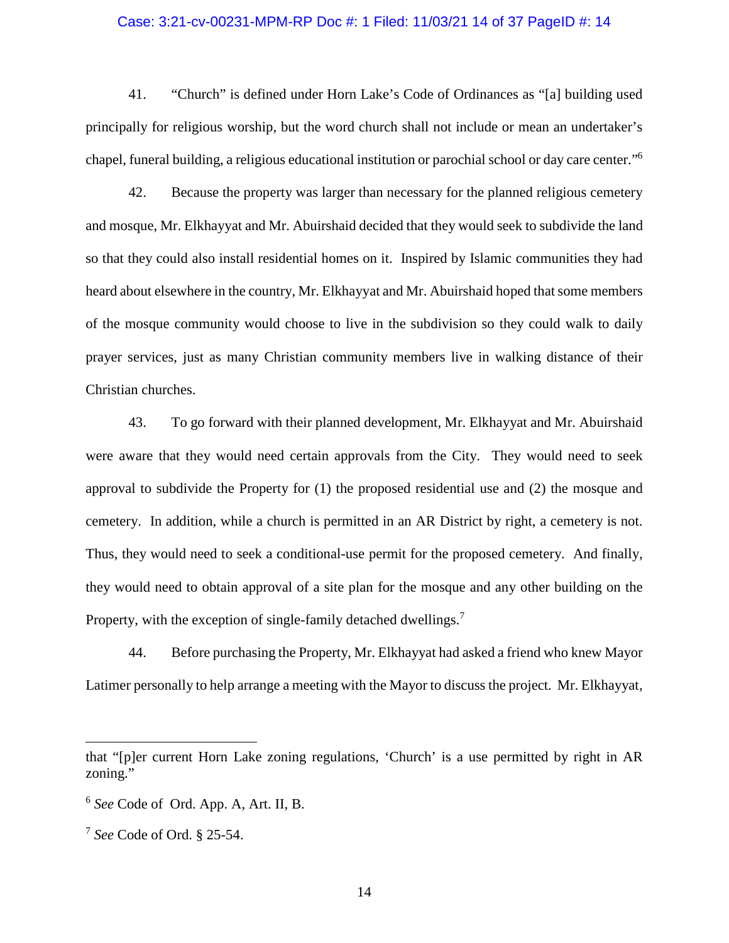### Case: 3:21-cv-00231-MPM-RP Doc #: 1 Filed: 11/03/21 14 of 37 PageID #: 14

41. "Church" is defined under Horn Lake's Code of Ordinances as "[a] building used principally for religious worship, but the word church shall not include or mean an undertaker's chapel, funeral building, a religious educational institution or parochial school or day care center."<sup>6</sup>

42. Because the property was larger than necessary for the planned religious cemetery and mosque, Mr. Elkhayyat and Mr. Abuirshaid decided that they would seek to subdivide the land so that they could also install residential homes on it. Inspired by Islamic communities they had heard about elsewhere in the country, Mr. Elkhayyat and Mr. Abuirshaid hoped that some members of the mosque community would choose to live in the subdivision so they could walk to daily prayer services, just as many Christian community members live in walking distance of their Christian churches.

43. To go forward with their planned development, Mr. Elkhayyat and Mr. Abuirshaid were aware that they would need certain approvals from the City. They would need to seek approval to subdivide the Property for (1) the proposed residential use and (2) the mosque and cemetery. In addition, while a church is permitted in an AR District by right, a cemetery is not. Thus, they would need to seek a conditional-use permit for the proposed cemetery. And finally, they would need to obtain approval of a site plan for the mosque and any other building on the Property, with the exception of single-family detached dwellings.<sup>7</sup>

44. Before purchasing the Property, Mr. Elkhayyat had asked a friend who knew Mayor Latimer personally to help arrange a meeting with the Mayor to discuss the project. Mr. Elkhayyat,

that "[p]er current Horn Lake zoning regulations, 'Church' is a use permitted by right in AR zoning."

<sup>6</sup> *See* Code of Ord. App. A, Art. II, B.

<sup>7</sup> *See* Code of Ord. § 25-54.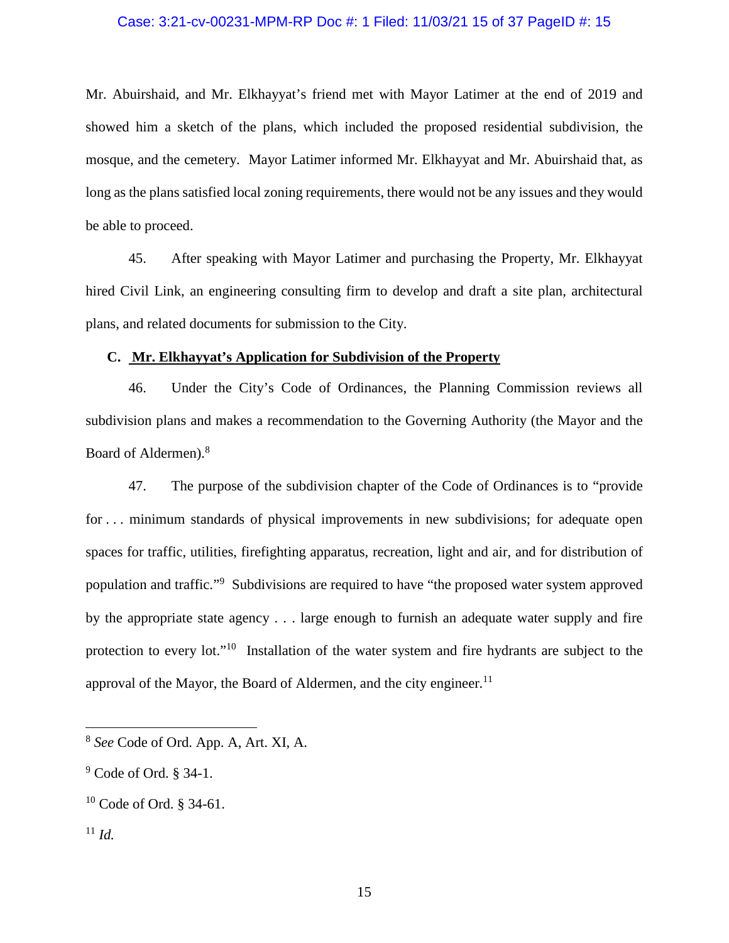### Case: 3:21-cv-00231-MPM-RP Doc #: 1 Filed: 11/03/21 15 of 37 PageID #: 15

Mr. Abuirshaid, and Mr. Elkhayyat's friend met with Mayor Latimer at the end of 2019 and showed him a sketch of the plans, which included the proposed residential subdivision, the mosque, and the cemetery. Mayor Latimer informed Mr. Elkhayyat and Mr. Abuirshaid that, as long as the plans satisfied local zoning requirements, there would not be any issues and they would be able to proceed.

45. After speaking with Mayor Latimer and purchasing the Property, Mr. Elkhayyat hired Civil Link, an engineering consulting firm to develop and draft a site plan, architectural plans, and related documents for submission to the City.

### **C. Mr. Elkhayyat's Application for Subdivision of the Property**

46. Under the City's Code of Ordinances, the Planning Commission reviews all subdivision plans and makes a recommendation to the Governing Authority (the Mayor and the Board of Aldermen).<sup>8</sup>

47. The purpose of the subdivision chapter of the Code of Ordinances is to "provide for . . . minimum standards of physical improvements in new subdivisions; for adequate open spaces for traffic, utilities, firefighting apparatus, recreation, light and air, and for distribution of population and traffic."<sup>9</sup> Subdivisions are required to have "the proposed water system approved by the appropriate state agency . . . large enough to furnish an adequate water supply and fire protection to every lot."<sup>10</sup> Installation of the water system and fire hydrants are subject to the approval of the Mayor, the Board of Aldermen, and the city engineer.<sup>11</sup>

<sup>8</sup> *See* Code of Ord. App. A, Art. XI, A.

 $9^9$  Code of Ord. § 34-1.

 $10 \text{ Code of Ord. }$  § 34-61.

 $11$  *Id.*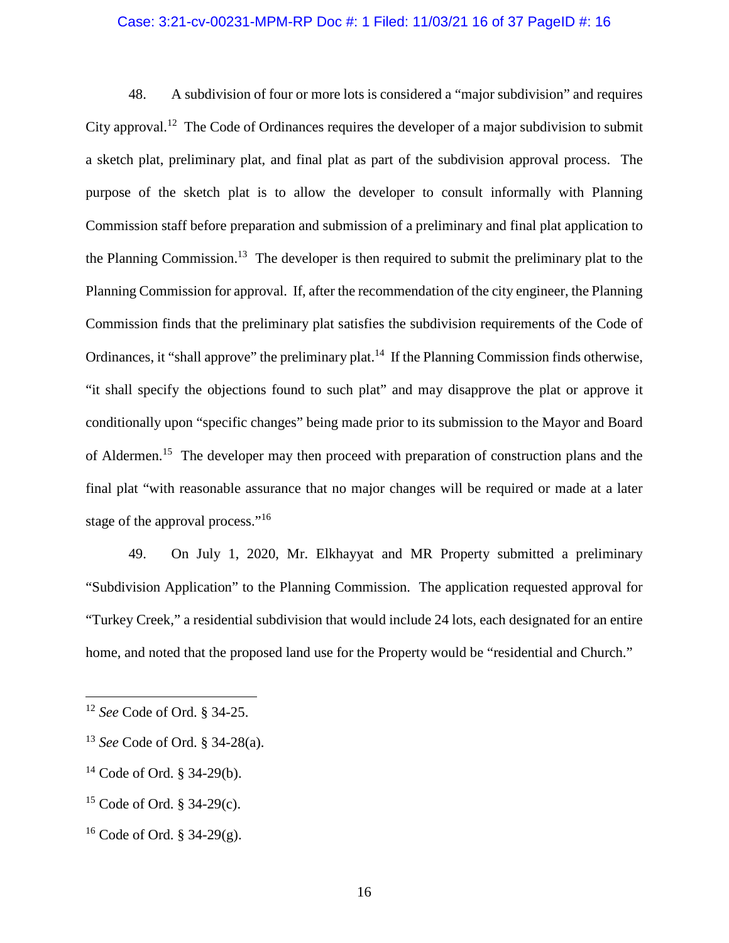### Case: 3:21-cv-00231-MPM-RP Doc #: 1 Filed: 11/03/21 16 of 37 PageID #: 16

48. A subdivision of four or more lots is considered a "major subdivision" and requires City approval.<sup>12</sup> The Code of Ordinances requires the developer of a major subdivision to submit a sketch plat, preliminary plat, and final plat as part of the subdivision approval process. The purpose of the sketch plat is to allow the developer to consult informally with Planning Commission staff before preparation and submission of a preliminary and final plat application to the Planning Commission.<sup>13</sup> The developer is then required to submit the preliminary plat to the Planning Commission for approval. If, after the recommendation of the city engineer, the Planning Commission finds that the preliminary plat satisfies the subdivision requirements of the Code of Ordinances, it "shall approve" the preliminary plat.<sup>14</sup> If the Planning Commission finds otherwise, "it shall specify the objections found to such plat" and may disapprove the plat or approve it conditionally upon "specific changes" being made prior to its submission to the Mayor and Board of Aldermen.<sup>15</sup> The developer may then proceed with preparation of construction plans and the final plat "with reasonable assurance that no major changes will be required or made at a later stage of the approval process."<sup>16</sup>

49. On July 1, 2020, Mr. Elkhayyat and MR Property submitted a preliminary "Subdivision Application" to the Planning Commission. The application requested approval for "Turkey Creek," a residential subdivision that would include 24 lots, each designated for an entire home, and noted that the proposed land use for the Property would be "residential and Church."

<sup>12</sup> *See* Code of Ord. § 34-25.

<sup>13</sup> *See* Code of Ord. § 34-28(a).

<sup>14</sup> Code of Ord. § 34-29(b).

<sup>&</sup>lt;sup>15</sup> Code of Ord. § 34-29(c).

<sup>&</sup>lt;sup>16</sup> Code of Ord. § 34-29(g).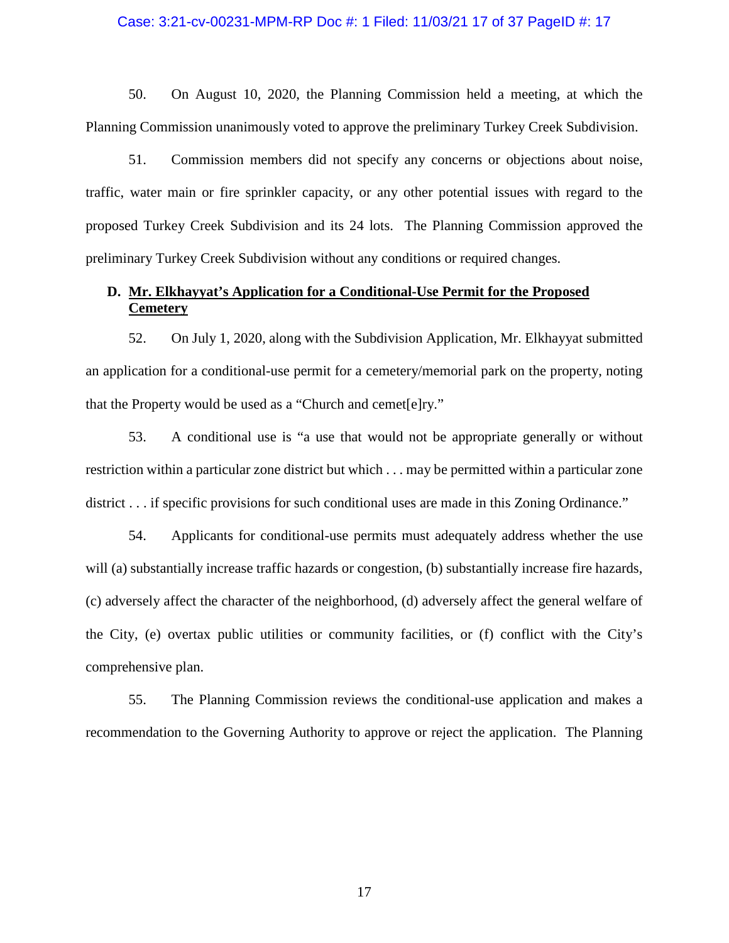#### Case: 3:21-cv-00231-MPM-RP Doc #: 1 Filed: 11/03/21 17 of 37 PageID #: 17

50. On August 10, 2020, the Planning Commission held a meeting, at which the Planning Commission unanimously voted to approve the preliminary Turkey Creek Subdivision.

51. Commission members did not specify any concerns or objections about noise, traffic, water main or fire sprinkler capacity, or any other potential issues with regard to the proposed Turkey Creek Subdivision and its 24 lots. The Planning Commission approved the preliminary Turkey Creek Subdivision without any conditions or required changes.

# **D. Mr. Elkhayyat's Application for a Conditional-Use Permit for the Proposed Cemetery**

52. On July 1, 2020, along with the Subdivision Application, Mr. Elkhayyat submitted an application for a conditional-use permit for a cemetery/memorial park on the property, noting that the Property would be used as a "Church and cemet[e]ry."

53. A conditional use is "a use that would not be appropriate generally or without restriction within a particular zone district but which . . . may be permitted within a particular zone district . . . if specific provisions for such conditional uses are made in this Zoning Ordinance."

54. Applicants for conditional-use permits must adequately address whether the use will (a) substantially increase traffic hazards or congestion, (b) substantially increase fire hazards, (c) adversely affect the character of the neighborhood, (d) adversely affect the general welfare of the City, (e) overtax public utilities or community facilities, or (f) conflict with the City's comprehensive plan.

55. The Planning Commission reviews the conditional-use application and makes a recommendation to the Governing Authority to approve or reject the application. The Planning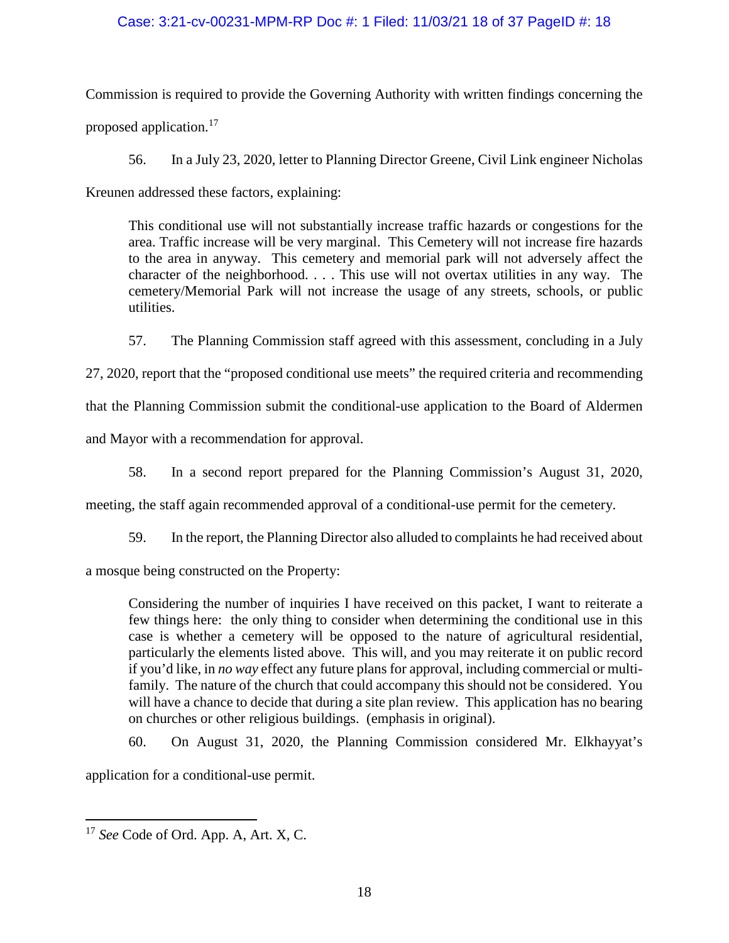# Case: 3:21-cv-00231-MPM-RP Doc #: 1 Filed: 11/03/21 18 of 37 PageID #: 18

Commission is required to provide the Governing Authority with written findings concerning the proposed application.<sup>17</sup>

56. In a July 23, 2020, letter to Planning Director Greene, Civil Link engineer Nicholas Kreunen addressed these factors, explaining:

This conditional use will not substantially increase traffic hazards or congestions for the area. Traffic increase will be very marginal. This Cemetery will not increase fire hazards to the area in anyway. This cemetery and memorial park will not adversely affect the character of the neighborhood. . . . This use will not overtax utilities in any way. The cemetery/Memorial Park will not increase the usage of any streets, schools, or public utilities.

57. The Planning Commission staff agreed with this assessment, concluding in a July

27, 2020, report that the "proposed conditional use meets" the required criteria and recommending

that the Planning Commission submit the conditional-use application to the Board of Aldermen

and Mayor with a recommendation for approval.

58. In a second report prepared for the Planning Commission's August 31, 2020,

meeting, the staff again recommended approval of a conditional-use permit for the cemetery.

59. In the report, the Planning Director also alluded to complaints he had received about

a mosque being constructed on the Property:

Considering the number of inquiries I have received on this packet, I want to reiterate a few things here: the only thing to consider when determining the conditional use in this case is whether a cemetery will be opposed to the nature of agricultural residential, particularly the elements listed above. This will, and you may reiterate it on public record if you'd like, in *no way* effect any future plans for approval, including commercial or multifamily. The nature of the church that could accompany this should not be considered. You will have a chance to decide that during a site plan review. This application has no bearing on churches or other religious buildings. (emphasis in original).

60. On August 31, 2020, the Planning Commission considered Mr. Elkhayyat's

application for a conditional-use permit.

<sup>17</sup> *See* Code of Ord. App. A, Art. X, C.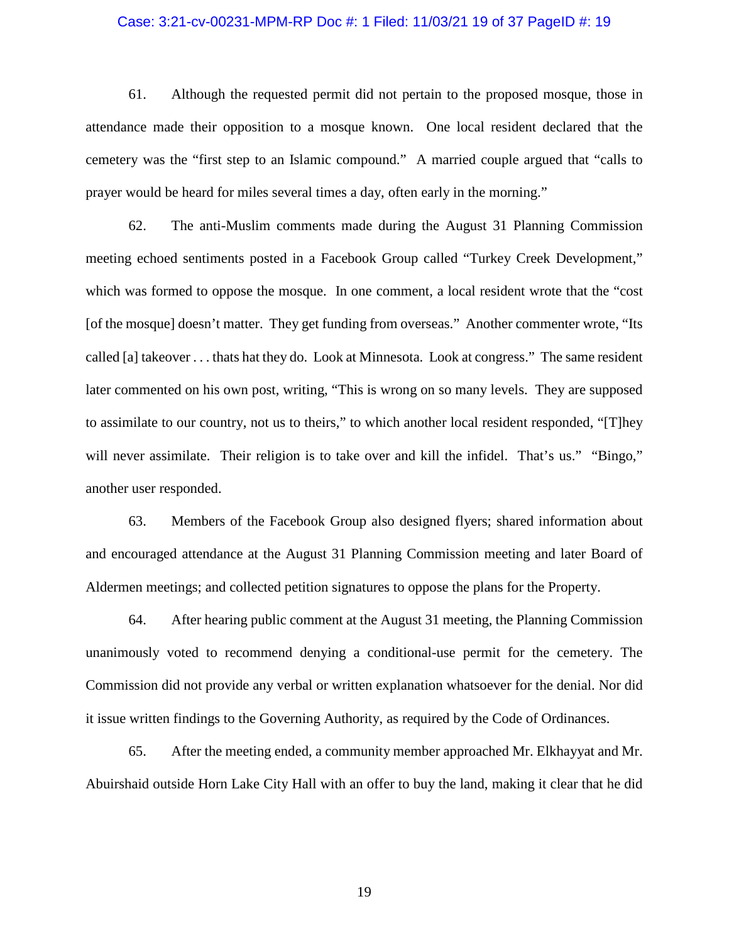### Case: 3:21-cv-00231-MPM-RP Doc #: 1 Filed: 11/03/21 19 of 37 PageID #: 19

61. Although the requested permit did not pertain to the proposed mosque, those in attendance made their opposition to a mosque known. One local resident declared that the cemetery was the "first step to an Islamic compound." A married couple argued that "calls to prayer would be heard for miles several times a day, often early in the morning."

62. The anti-Muslim comments made during the August 31 Planning Commission meeting echoed sentiments posted in a Facebook Group called "Turkey Creek Development," which was formed to oppose the mosque. In one comment, a local resident wrote that the "cost [of the mosque] doesn't matter. They get funding from overseas." Another commenter wrote, "Its called [a] takeover . . . thats hat they do. Look at Minnesota. Look at congress." The same resident later commented on his own post, writing, "This is wrong on so many levels. They are supposed to assimilate to our country, not us to theirs," to which another local resident responded, "[T]hey will never assimilate. Their religion is to take over and kill the infidel. That's us." "Bingo," another user responded.

63. Members of the Facebook Group also designed flyers; shared information about and encouraged attendance at the August 31 Planning Commission meeting and later Board of Aldermen meetings; and collected petition signatures to oppose the plans for the Property.

64. After hearing public comment at the August 31 meeting, the Planning Commission unanimously voted to recommend denying a conditional-use permit for the cemetery. The Commission did not provide any verbal or written explanation whatsoever for the denial. Nor did it issue written findings to the Governing Authority, as required by the Code of Ordinances.

65. After the meeting ended, a community member approached Mr. Elkhayyat and Mr. Abuirshaid outside Horn Lake City Hall with an offer to buy the land, making it clear that he did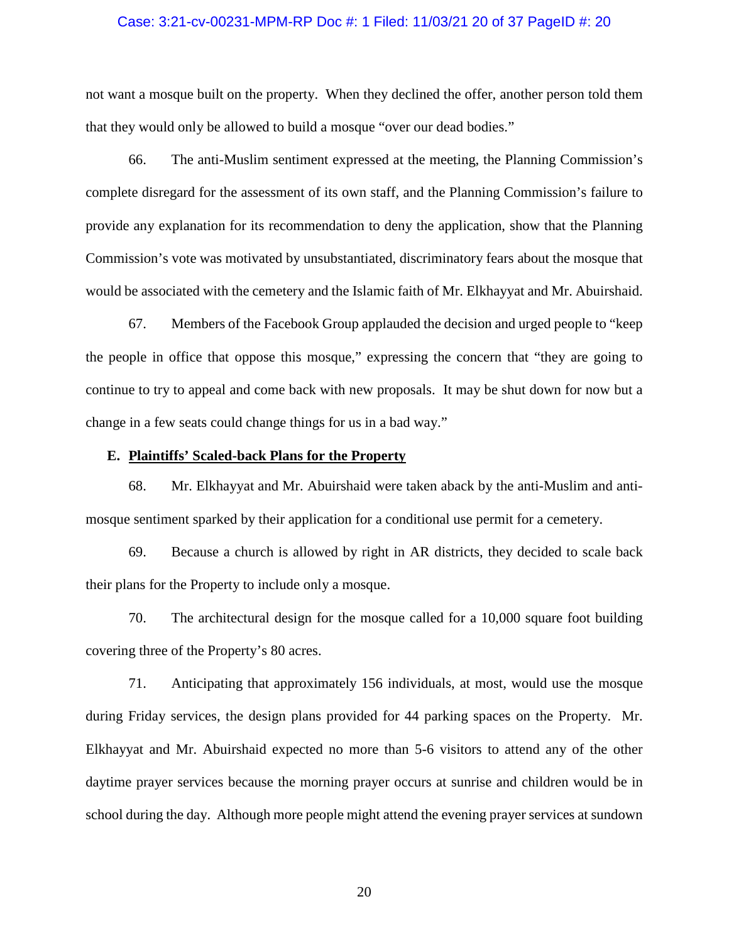### Case: 3:21-cv-00231-MPM-RP Doc #: 1 Filed: 11/03/21 20 of 37 PageID #: 20

not want a mosque built on the property. When they declined the offer, another person told them that they would only be allowed to build a mosque "over our dead bodies."

66. The anti-Muslim sentiment expressed at the meeting, the Planning Commission's complete disregard for the assessment of its own staff, and the Planning Commission's failure to provide any explanation for its recommendation to deny the application, show that the Planning Commission's vote was motivated by unsubstantiated, discriminatory fears about the mosque that would be associated with the cemetery and the Islamic faith of Mr. Elkhayyat and Mr. Abuirshaid.

67. Members of the Facebook Group applauded the decision and urged people to "keep the people in office that oppose this mosque," expressing the concern that "they are going to continue to try to appeal and come back with new proposals. It may be shut down for now but a change in a few seats could change things for us in a bad way."

### **E. Plaintiffs' Scaled-back Plans for the Property**

68. Mr. Elkhayyat and Mr. Abuirshaid were taken aback by the anti-Muslim and antimosque sentiment sparked by their application for a conditional use permit for a cemetery.

69. Because a church is allowed by right in AR districts, they decided to scale back their plans for the Property to include only a mosque.

70. The architectural design for the mosque called for a 10,000 square foot building covering three of the Property's 80 acres.

71. Anticipating that approximately 156 individuals, at most, would use the mosque during Friday services, the design plans provided for 44 parking spaces on the Property. Mr. Elkhayyat and Mr. Abuirshaid expected no more than 5-6 visitors to attend any of the other daytime prayer services because the morning prayer occurs at sunrise and children would be in school during the day. Although more people might attend the evening prayer services at sundown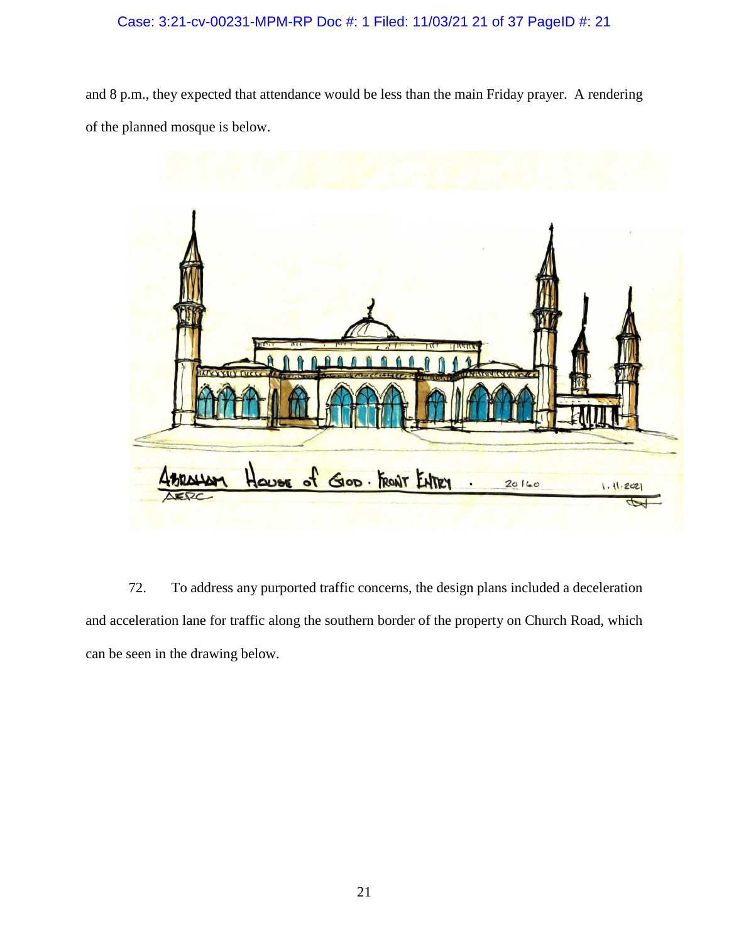# Case: 3:21-cv-00231-MPM-RP Doc #: 1 Filed: 11/03/21 21 of 37 PageID #: 21

and 8 p.m., they expected that attendance would be less than the main Friday prayer. A rendering of the planned mosque is below.



72. To address any purported traffic concerns, the design plans included a deceleration and acceleration lane for traffic along the southern border of the property on Church Road, which can be seen in the drawing below.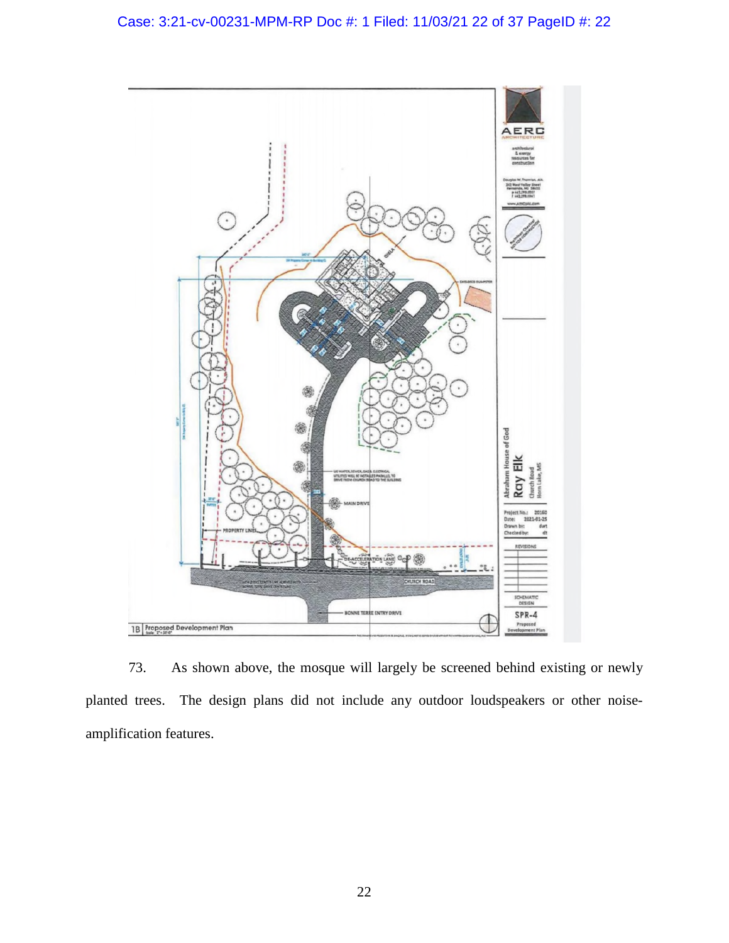Case: 3:21-cv-00231-MPM-RP Doc #: 1 Filed: 11/03/21 22 of 37 PageID #: 22



73. As shown above, the mosque will largely be screened behind existing or newly planted trees. The design plans did not include any outdoor loudspeakers or other noiseamplification features.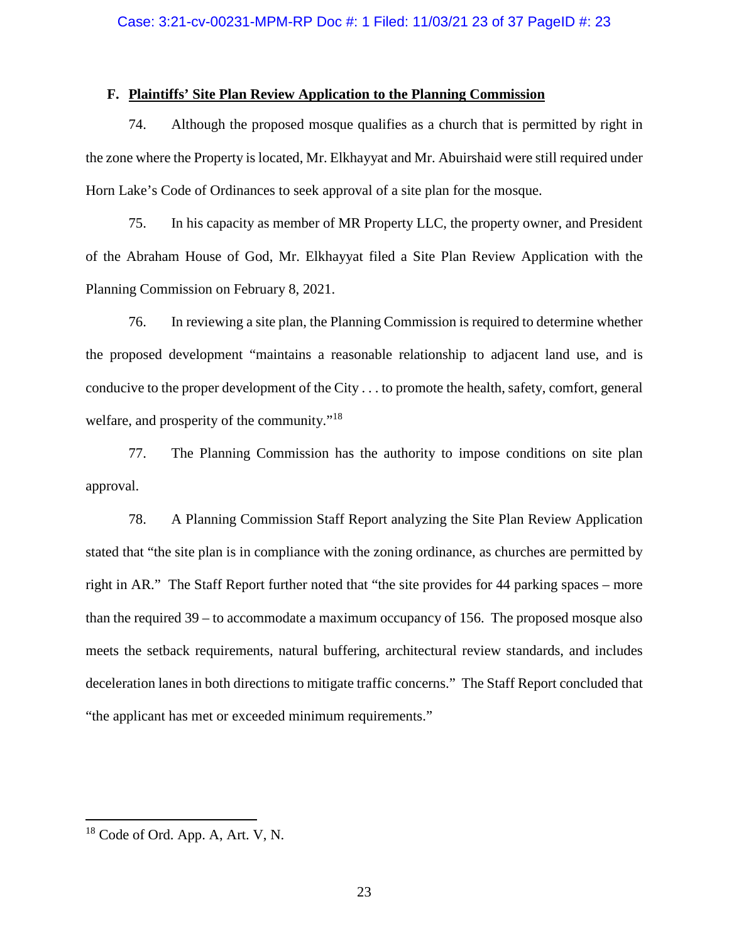### **F. Plaintiffs' Site Plan Review Application to the Planning Commission**

74. Although the proposed mosque qualifies as a church that is permitted by right in the zone where the Property is located, Mr. Elkhayyat and Mr. Abuirshaid were still required under Horn Lake's Code of Ordinances to seek approval of a site plan for the mosque.

75. In his capacity as member of MR Property LLC, the property owner, and President of the Abraham House of God, Mr. Elkhayyat filed a Site Plan Review Application with the Planning Commission on February 8, 2021.

76. In reviewing a site plan, the Planning Commission is required to determine whether the proposed development "maintains a reasonable relationship to adjacent land use, and is conducive to the proper development of the City . . . to promote the health, safety, comfort, general welfare, and prosperity of the community."<sup>18</sup>

77. The Planning Commission has the authority to impose conditions on site plan approval.

78. A Planning Commission Staff Report analyzing the Site Plan Review Application stated that "the site plan is in compliance with the zoning ordinance, as churches are permitted by right in AR." The Staff Report further noted that "the site provides for 44 parking spaces – more than the required 39 – to accommodate a maximum occupancy of 156. The proposed mosque also meets the setback requirements, natural buffering, architectural review standards, and includes deceleration lanes in both directions to mitigate traffic concerns." The Staff Report concluded that "the applicant has met or exceeded minimum requirements."

 $18$  Code of Ord. App. A, Art. V, N.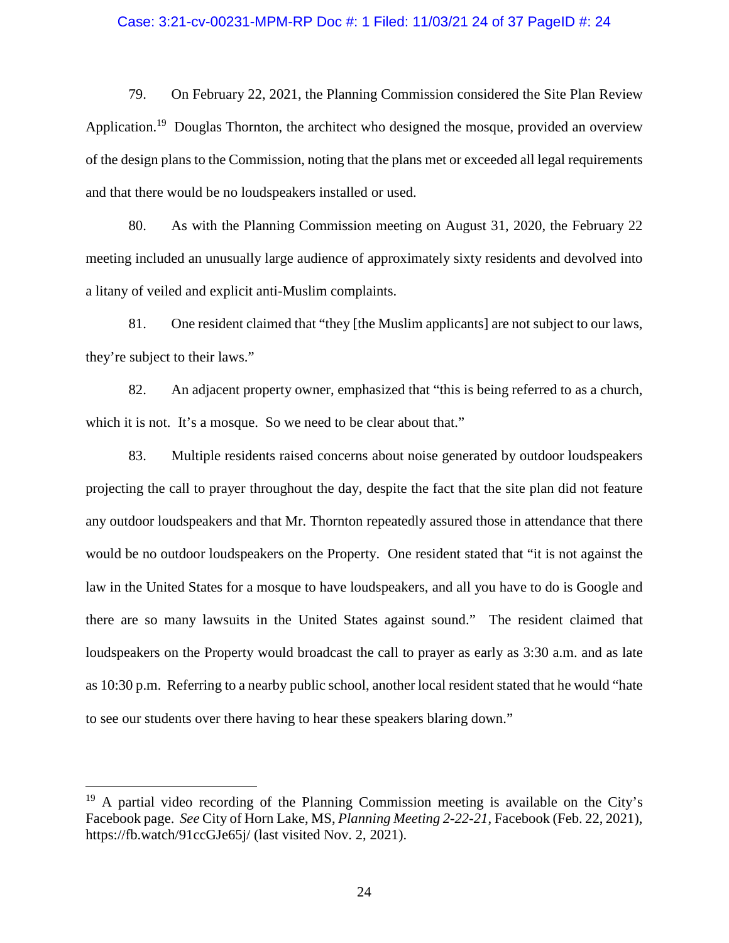### Case: 3:21-cv-00231-MPM-RP Doc #: 1 Filed: 11/03/21 24 of 37 PageID #: 24

79. On February 22, 2021, the Planning Commission considered the Site Plan Review Application.<sup>19</sup> Douglas Thornton, the architect who designed the mosque, provided an overview of the design plans to the Commission, noting that the plans met or exceeded all legal requirements and that there would be no loudspeakers installed or used.

80. As with the Planning Commission meeting on August 31, 2020, the February 22 meeting included an unusually large audience of approximately sixty residents and devolved into a litany of veiled and explicit anti-Muslim complaints.

81. One resident claimed that "they [the Muslim applicants] are not subject to our laws, they're subject to their laws."

82. An adjacent property owner, emphasized that "this is being referred to as a church, which it is not. It's a mosque. So we need to be clear about that."

83. Multiple residents raised concerns about noise generated by outdoor loudspeakers projecting the call to prayer throughout the day, despite the fact that the site plan did not feature any outdoor loudspeakers and that Mr. Thornton repeatedly assured those in attendance that there would be no outdoor loudspeakers on the Property. One resident stated that "it is not against the law in the United States for a mosque to have loudspeakers, and all you have to do is Google and there are so many lawsuits in the United States against sound." The resident claimed that loudspeakers on the Property would broadcast the call to prayer as early as 3:30 a.m. and as late as 10:30 p.m. Referring to a nearby public school, another local resident stated that he would "hate to see our students over there having to hear these speakers blaring down."

<sup>&</sup>lt;sup>19</sup> A partial video recording of the Planning Commission meeting is available on the City's Facebook page. *See* City of Horn Lake, MS, *Planning Meeting 2-22-21*, Facebook (Feb. 22, 2021), https://fb.watch/91ccGJe65j/ (last visited Nov. 2, 2021).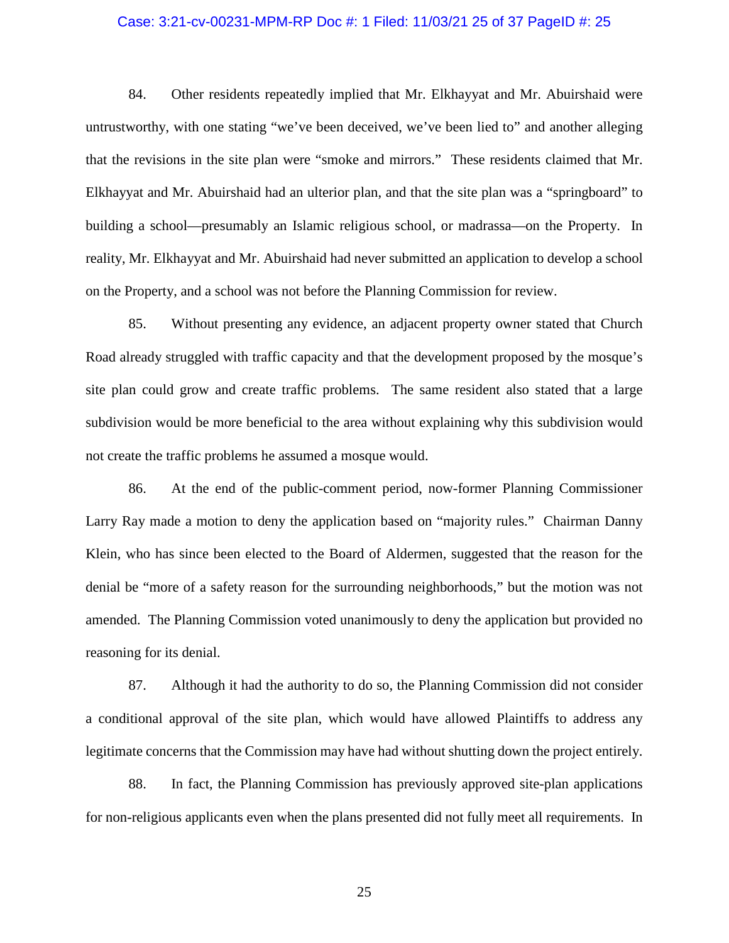### Case: 3:21-cv-00231-MPM-RP Doc #: 1 Filed: 11/03/21 25 of 37 PageID #: 25

84. Other residents repeatedly implied that Mr. Elkhayyat and Mr. Abuirshaid were untrustworthy, with one stating "we've been deceived, we've been lied to" and another alleging that the revisions in the site plan were "smoke and mirrors." These residents claimed that Mr. Elkhayyat and Mr. Abuirshaid had an ulterior plan, and that the site plan was a "springboard" to building a school—presumably an Islamic religious school, or madrassa—on the Property. In reality, Mr. Elkhayyat and Mr. Abuirshaid had never submitted an application to develop a school on the Property, and a school was not before the Planning Commission for review.

85. Without presenting any evidence, an adjacent property owner stated that Church Road already struggled with traffic capacity and that the development proposed by the mosque's site plan could grow and create traffic problems. The same resident also stated that a large subdivision would be more beneficial to the area without explaining why this subdivision would not create the traffic problems he assumed a mosque would.

86. At the end of the public-comment period, now-former Planning Commissioner Larry Ray made a motion to deny the application based on "majority rules." Chairman Danny Klein, who has since been elected to the Board of Aldermen, suggested that the reason for the denial be "more of a safety reason for the surrounding neighborhoods," but the motion was not amended. The Planning Commission voted unanimously to deny the application but provided no reasoning for its denial.

87. Although it had the authority to do so, the Planning Commission did not consider a conditional approval of the site plan, which would have allowed Plaintiffs to address any legitimate concerns that the Commission may have had without shutting down the project entirely.

88. In fact, the Planning Commission has previously approved site-plan applications for non-religious applicants even when the plans presented did not fully meet all requirements. In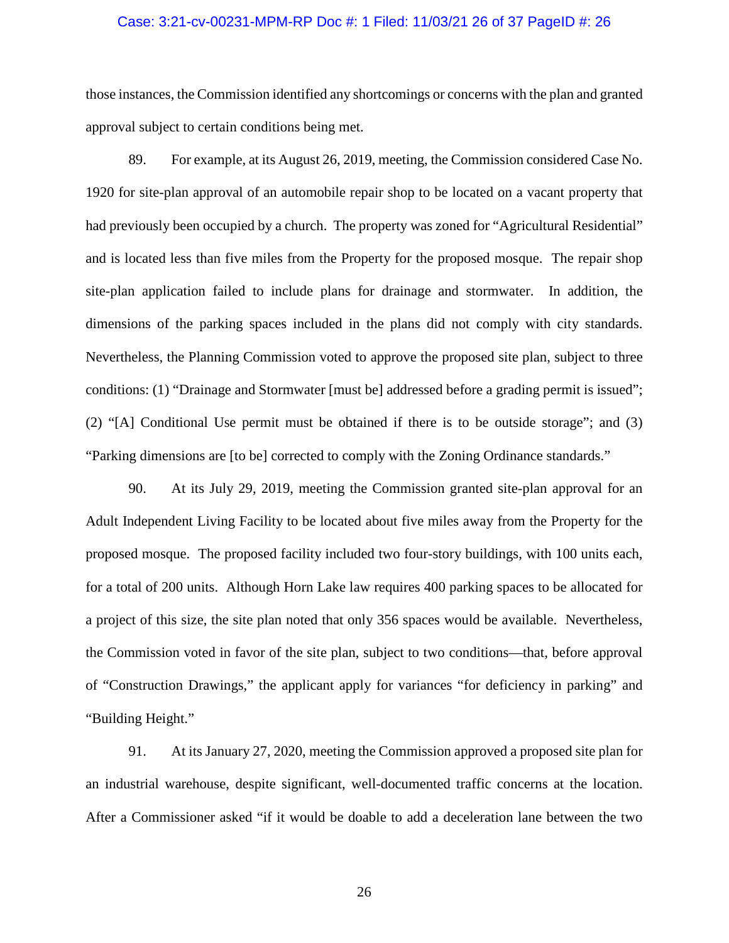### Case: 3:21-cv-00231-MPM-RP Doc #: 1 Filed: 11/03/21 26 of 37 PageID #: 26

those instances, the Commission identified any shortcomings or concerns with the plan and granted approval subject to certain conditions being met.

89. For example, at its August 26, 2019, meeting, the Commission considered Case No. 1920 for site-plan approval of an automobile repair shop to be located on a vacant property that had previously been occupied by a church. The property was zoned for "Agricultural Residential" and is located less than five miles from the Property for the proposed mosque. The repair shop site-plan application failed to include plans for drainage and stormwater. In addition, the dimensions of the parking spaces included in the plans did not comply with city standards. Nevertheless, the Planning Commission voted to approve the proposed site plan, subject to three conditions: (1) "Drainage and Stormwater [must be] addressed before a grading permit is issued"; (2) "[A] Conditional Use permit must be obtained if there is to be outside storage"; and (3) "Parking dimensions are [to be] corrected to comply with the Zoning Ordinance standards."

90. At its July 29, 2019, meeting the Commission granted site-plan approval for an Adult Independent Living Facility to be located about five miles away from the Property for the proposed mosque. The proposed facility included two four-story buildings, with 100 units each, for a total of 200 units. Although Horn Lake law requires 400 parking spaces to be allocated for a project of this size, the site plan noted that only 356 spaces would be available. Nevertheless, the Commission voted in favor of the site plan, subject to two conditions—that, before approval of "Construction Drawings," the applicant apply for variances "for deficiency in parking" and "Building Height."

91. At its January 27, 2020, meeting the Commission approved a proposed site plan for an industrial warehouse, despite significant, well-documented traffic concerns at the location. After a Commissioner asked "if it would be doable to add a deceleration lane between the two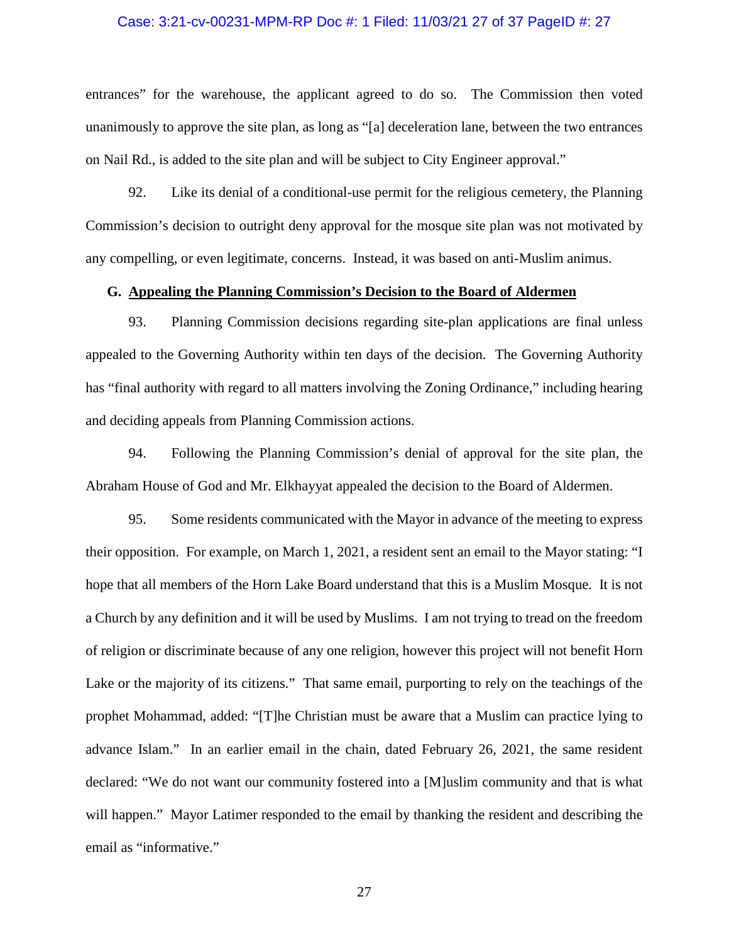### Case: 3:21-cv-00231-MPM-RP Doc #: 1 Filed: 11/03/21 27 of 37 PageID #: 27

entrances" for the warehouse, the applicant agreed to do so. The Commission then voted unanimously to approve the site plan, as long as "[a] deceleration lane, between the two entrances on Nail Rd., is added to the site plan and will be subject to City Engineer approval."

92. Like its denial of a conditional-use permit for the religious cemetery, the Planning Commission's decision to outright deny approval for the mosque site plan was not motivated by any compelling, or even legitimate, concerns. Instead, it was based on anti-Muslim animus.

### **G. Appealing the Planning Commission's Decision to the Board of Aldermen**

93. Planning Commission decisions regarding site-plan applications are final unless appealed to the Governing Authority within ten days of the decision. The Governing Authority has "final authority with regard to all matters involving the Zoning Ordinance," including hearing and deciding appeals from Planning Commission actions.

94. Following the Planning Commission's denial of approval for the site plan, the Abraham House of God and Mr. Elkhayyat appealed the decision to the Board of Aldermen.

95. Some residents communicated with the Mayor in advance of the meeting to express their opposition. For example, on March 1, 2021, a resident sent an email to the Mayor stating: "I hope that all members of the Horn Lake Board understand that this is a Muslim Mosque. It is not a Church by any definition and it will be used by Muslims. I am not trying to tread on the freedom of religion or discriminate because of any one religion, however this project will not benefit Horn Lake or the majority of its citizens." That same email, purporting to rely on the teachings of the prophet Mohammad, added: "[T]he Christian must be aware that a Muslim can practice lying to advance Islam." In an earlier email in the chain, dated February 26, 2021, the same resident declared: "We do not want our community fostered into a [M]uslim community and that is what will happen." Mayor Latimer responded to the email by thanking the resident and describing the email as "informative."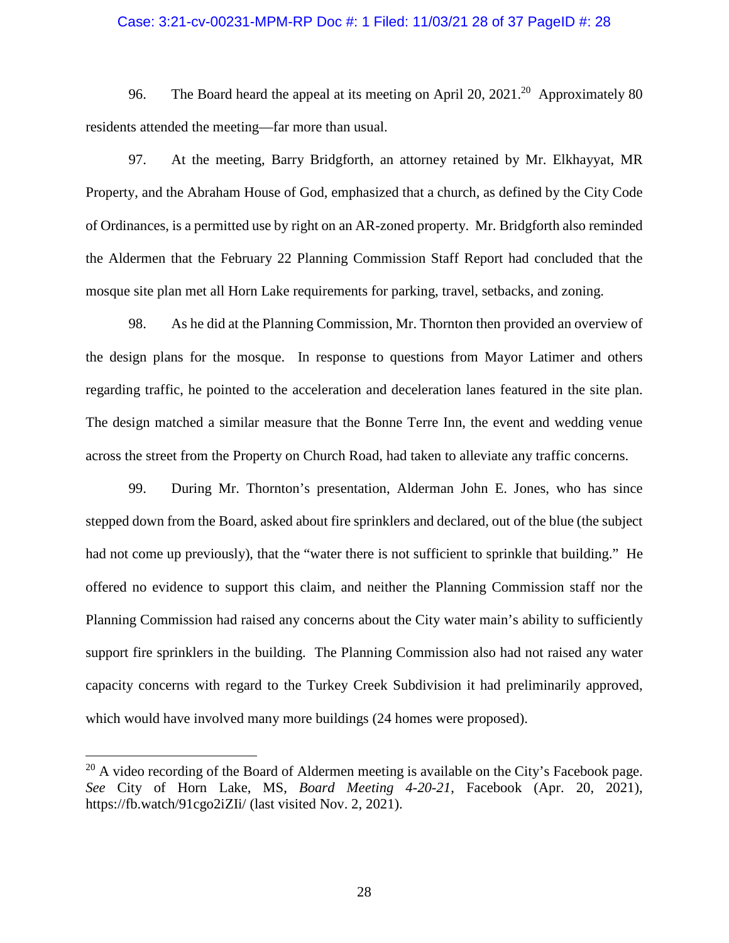### Case: 3:21-cv-00231-MPM-RP Doc #: 1 Filed: 11/03/21 28 of 37 PageID #: 28

96. The Board heard the appeal at its meeting on April 20, 2021.<sup>20</sup> Approximately 80 residents attended the meeting—far more than usual.

97. At the meeting, Barry Bridgforth, an attorney retained by Mr. Elkhayyat, MR Property, and the Abraham House of God, emphasized that a church, as defined by the City Code of Ordinances, is a permitted use by right on an AR-zoned property. Mr. Bridgforth also reminded the Aldermen that the February 22 Planning Commission Staff Report had concluded that the mosque site plan met all Horn Lake requirements for parking, travel, setbacks, and zoning.

98. As he did at the Planning Commission, Mr. Thornton then provided an overview of the design plans for the mosque. In response to questions from Mayor Latimer and others regarding traffic, he pointed to the acceleration and deceleration lanes featured in the site plan. The design matched a similar measure that the Bonne Terre Inn, the event and wedding venue across the street from the Property on Church Road, had taken to alleviate any traffic concerns.

99. During Mr. Thornton's presentation, Alderman John E. Jones, who has since stepped down from the Board, asked about fire sprinklers and declared, out of the blue (the subject had not come up previously), that the "water there is not sufficient to sprinkle that building." He offered no evidence to support this claim, and neither the Planning Commission staff nor the Planning Commission had raised any concerns about the City water main's ability to sufficiently support fire sprinklers in the building. The Planning Commission also had not raised any water capacity concerns with regard to the Turkey Creek Subdivision it had preliminarily approved, which would have involved many more buildings  $(24$  homes were proposed).

 $20$  A video recording of the Board of Aldermen meeting is available on the City's Facebook page. *See* City of Horn Lake, MS, *Board Meeting 4-20-21*, Facebook (Apr. 20, 2021), https://fb.watch/91cgo2iZIi/ (last visited Nov. 2, 2021).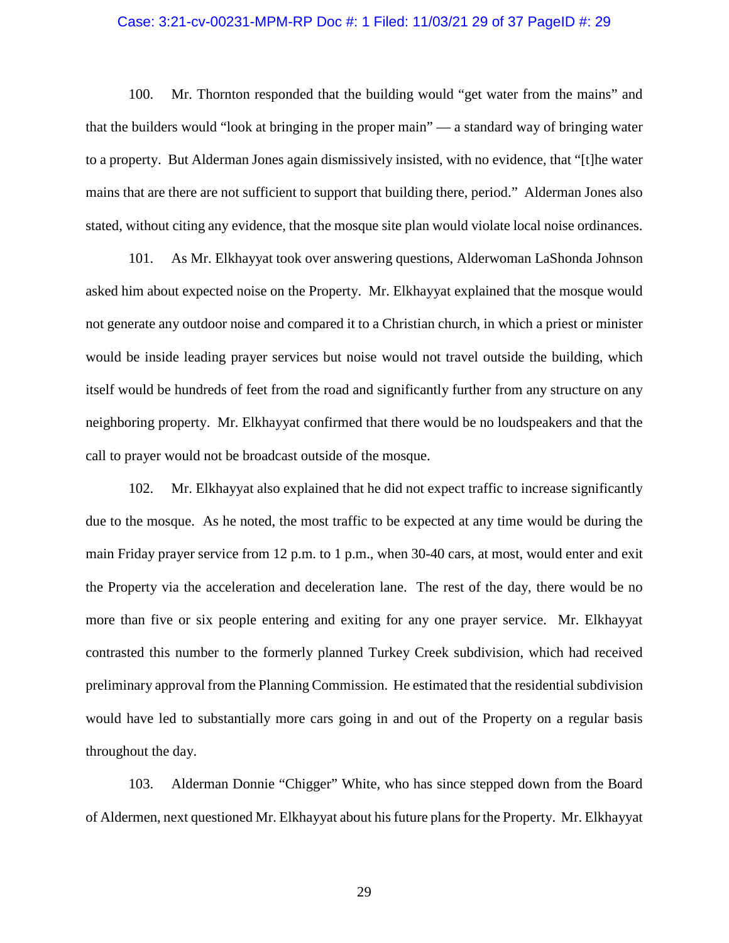### Case: 3:21-cv-00231-MPM-RP Doc #: 1 Filed: 11/03/21 29 of 37 PageID #: 29

100. Mr. Thornton responded that the building would "get water from the mains" and that the builders would "look at bringing in the proper main" — a standard way of bringing water to a property. But Alderman Jones again dismissively insisted, with no evidence, that "[t]he water mains that are there are not sufficient to support that building there, period." Alderman Jones also stated, without citing any evidence, that the mosque site plan would violate local noise ordinances.

101. As Mr. Elkhayyat took over answering questions, Alderwoman LaShonda Johnson asked him about expected noise on the Property. Mr. Elkhayyat explained that the mosque would not generate any outdoor noise and compared it to a Christian church, in which a priest or minister would be inside leading prayer services but noise would not travel outside the building, which itself would be hundreds of feet from the road and significantly further from any structure on any neighboring property. Mr. Elkhayyat confirmed that there would be no loudspeakers and that the call to prayer would not be broadcast outside of the mosque.

102. Mr. Elkhayyat also explained that he did not expect traffic to increase significantly due to the mosque. As he noted, the most traffic to be expected at any time would be during the main Friday prayer service from 12 p.m. to 1 p.m., when 30-40 cars, at most, would enter and exit the Property via the acceleration and deceleration lane. The rest of the day, there would be no more than five or six people entering and exiting for any one prayer service. Mr. Elkhayyat contrasted this number to the formerly planned Turkey Creek subdivision, which had received preliminary approval from the Planning Commission. He estimated that the residential subdivision would have led to substantially more cars going in and out of the Property on a regular basis throughout the day.

103. Alderman Donnie "Chigger" White, who has since stepped down from the Board of Aldermen, next questioned Mr. Elkhayyat about his future plans for the Property. Mr. Elkhayyat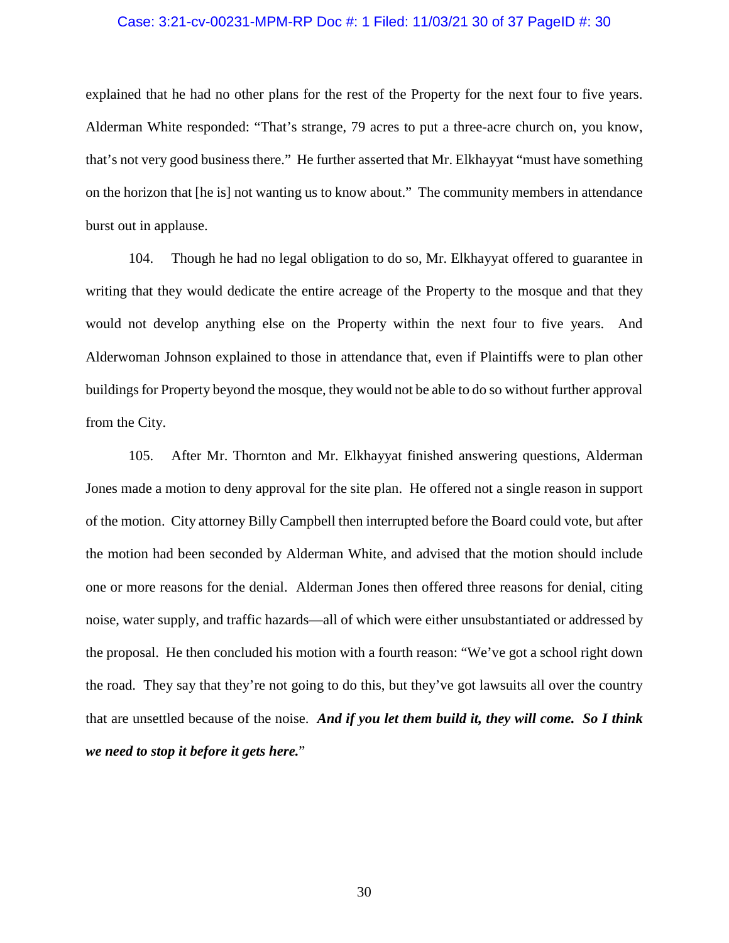### Case: 3:21-cv-00231-MPM-RP Doc #: 1 Filed: 11/03/21 30 of 37 PageID #: 30

explained that he had no other plans for the rest of the Property for the next four to five years. Alderman White responded: "That's strange, 79 acres to put a three-acre church on, you know, that's not very good business there." He further asserted that Mr. Elkhayyat "must have something on the horizon that [he is] not wanting us to know about." The community members in attendance burst out in applause.

104. Though he had no legal obligation to do so, Mr. Elkhayyat offered to guarantee in writing that they would dedicate the entire acreage of the Property to the mosque and that they would not develop anything else on the Property within the next four to five years. And Alderwoman Johnson explained to those in attendance that, even if Plaintiffs were to plan other buildings for Property beyond the mosque, they would not be able to do so without further approval from the City.

105. After Mr. Thornton and Mr. Elkhayyat finished answering questions, Alderman Jones made a motion to deny approval for the site plan. He offered not a single reason in support of the motion. City attorney Billy Campbell then interrupted before the Board could vote, but after the motion had been seconded by Alderman White, and advised that the motion should include one or more reasons for the denial. Alderman Jones then offered three reasons for denial, citing noise, water supply, and traffic hazards—all of which were either unsubstantiated or addressed by the proposal. He then concluded his motion with a fourth reason: "We've got a school right down the road. They say that they're not going to do this, but they've got lawsuits all over the country that are unsettled because of the noise. *And if you let them build it, they will come. So I think we need to stop it before it gets here.*"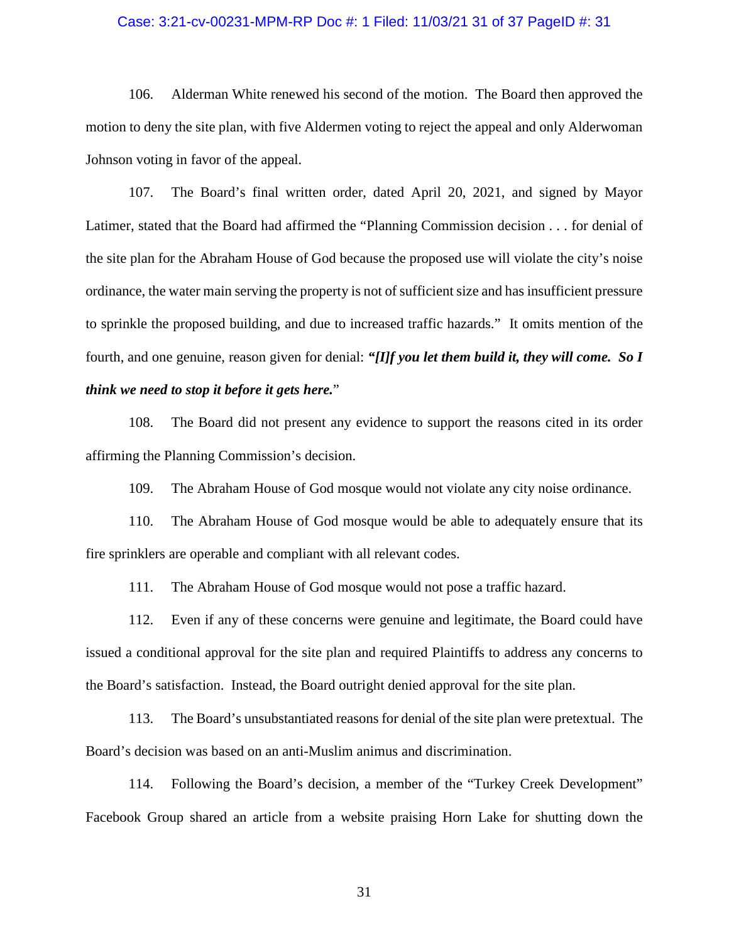### Case: 3:21-cv-00231-MPM-RP Doc #: 1 Filed: 11/03/21 31 of 37 PageID #: 31

106. Alderman White renewed his second of the motion. The Board then approved the motion to deny the site plan, with five Aldermen voting to reject the appeal and only Alderwoman Johnson voting in favor of the appeal.

107. The Board's final written order, dated April 20, 2021, and signed by Mayor Latimer, stated that the Board had affirmed the "Planning Commission decision . . . for denial of the site plan for the Abraham House of God because the proposed use will violate the city's noise ordinance, the water main serving the property is not of sufficient size and has insufficient pressure to sprinkle the proposed building, and due to increased traffic hazards." It omits mention of the fourth, and one genuine, reason given for denial: *"[I]f you let them build it, they will come. So I think we need to stop it before it gets here.*"

108. The Board did not present any evidence to support the reasons cited in its order affirming the Planning Commission's decision.

109. The Abraham House of God mosque would not violate any city noise ordinance.

110. The Abraham House of God mosque would be able to adequately ensure that its fire sprinklers are operable and compliant with all relevant codes.

111. The Abraham House of God mosque would not pose a traffic hazard.

112. Even if any of these concerns were genuine and legitimate, the Board could have issued a conditional approval for the site plan and required Plaintiffs to address any concerns to the Board's satisfaction. Instead, the Board outright denied approval for the site plan.

113. The Board's unsubstantiated reasons for denial of the site plan were pretextual. The Board's decision was based on an anti-Muslim animus and discrimination.

114. Following the Board's decision, a member of the "Turkey Creek Development" Facebook Group shared an article from a website praising Horn Lake for shutting down the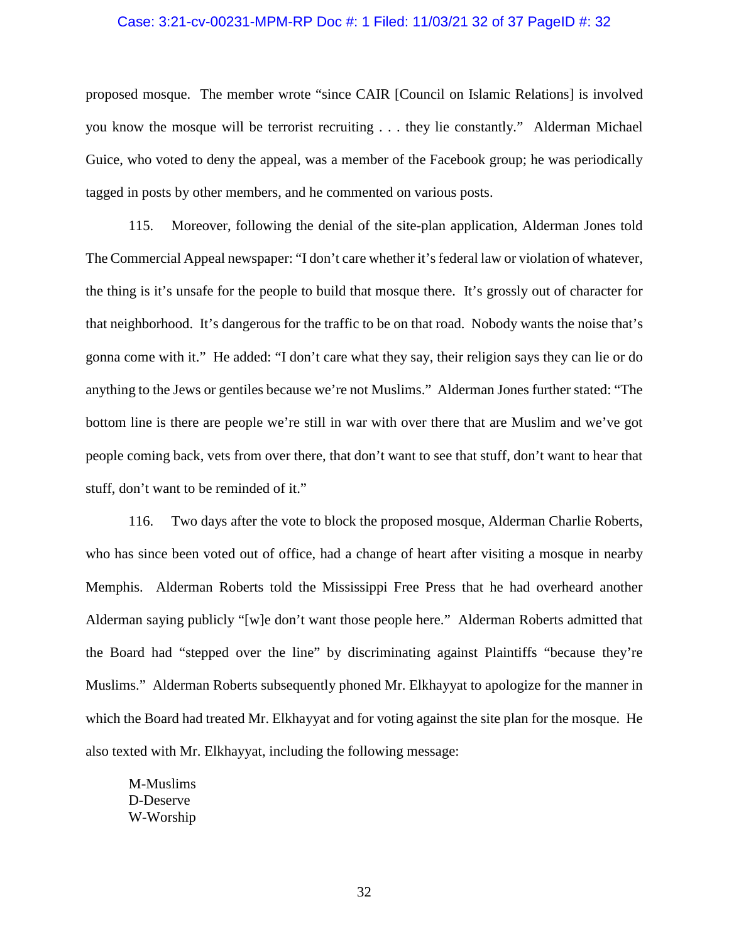### Case: 3:21-cv-00231-MPM-RP Doc #: 1 Filed: 11/03/21 32 of 37 PageID #: 32

proposed mosque. The member wrote "since CAIR [Council on Islamic Relations] is involved you know the mosque will be terrorist recruiting . . . they lie constantly." Alderman Michael Guice, who voted to deny the appeal, was a member of the Facebook group; he was periodically tagged in posts by other members, and he commented on various posts.

115. Moreover, following the denial of the site-plan application, Alderman Jones told The Commercial Appeal newspaper: "I don't care whether it's federal law or violation of whatever, the thing is it's unsafe for the people to build that mosque there. It's grossly out of character for that neighborhood. It's dangerous for the traffic to be on that road. Nobody wants the noise that's gonna come with it." He added: "I don't care what they say, their religion says they can lie or do anything to the Jews or gentiles because we're not Muslims." Alderman Jones further stated: "The bottom line is there are people we're still in war with over there that are Muslim and we've got people coming back, vets from over there, that don't want to see that stuff, don't want to hear that stuff, don't want to be reminded of it."

116. Two days after the vote to block the proposed mosque, Alderman Charlie Roberts, who has since been voted out of office, had a change of heart after visiting a mosque in nearby Memphis. Alderman Roberts told the Mississippi Free Press that he had overheard another Alderman saying publicly "[w]e don't want those people here." Alderman Roberts admitted that the Board had "stepped over the line" by discriminating against Plaintiffs "because they're Muslims." Alderman Roberts subsequently phoned Mr. Elkhayyat to apologize for the manner in which the Board had treated Mr. Elkhayyat and for voting against the site plan for the mosque. He also texted with Mr. Elkhayyat, including the following message:

M-Muslims D-Deserve W-Worship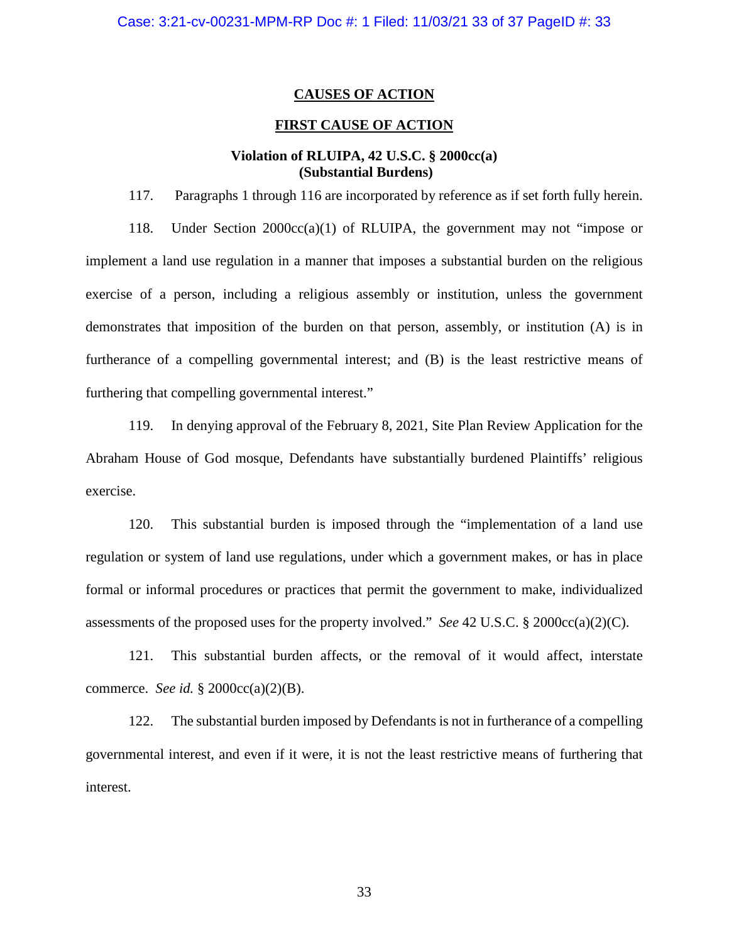### **CAUSES OF ACTION**

### **FIRST CAUSE OF ACTION**

### **Violation of RLUIPA, 42 U.S.C. § 2000cc(a) (Substantial Burdens)**

117. Paragraphs 1 through 116 are incorporated by reference as if set forth fully herein. 118. Under Section 2000cc(a)(1) of RLUIPA, the government may not "impose or implement a land use regulation in a manner that imposes a substantial burden on the religious exercise of a person, including a religious assembly or institution, unless the government demonstrates that imposition of the burden on that person, assembly, or institution (A) is in furtherance of a compelling governmental interest; and (B) is the least restrictive means of furthering that compelling governmental interest."

119. In denying approval of the February 8, 2021, Site Plan Review Application for the Abraham House of God mosque, Defendants have substantially burdened Plaintiffs' religious exercise.

120. This substantial burden is imposed through the "implementation of a land use regulation or system of land use regulations, under which a government makes, or has in place formal or informal procedures or practices that permit the government to make, individualized assessments of the proposed uses for the property involved." *See* 42 U.S.C. § 2000cc(a)(2)(C).

121. This substantial burden affects, or the removal of it would affect, interstate commerce. *See id.* § 2000cc(a)(2)(B).

122. The substantial burden imposed by Defendants is not in furtherance of a compelling governmental interest, and even if it were, it is not the least restrictive means of furthering that interest.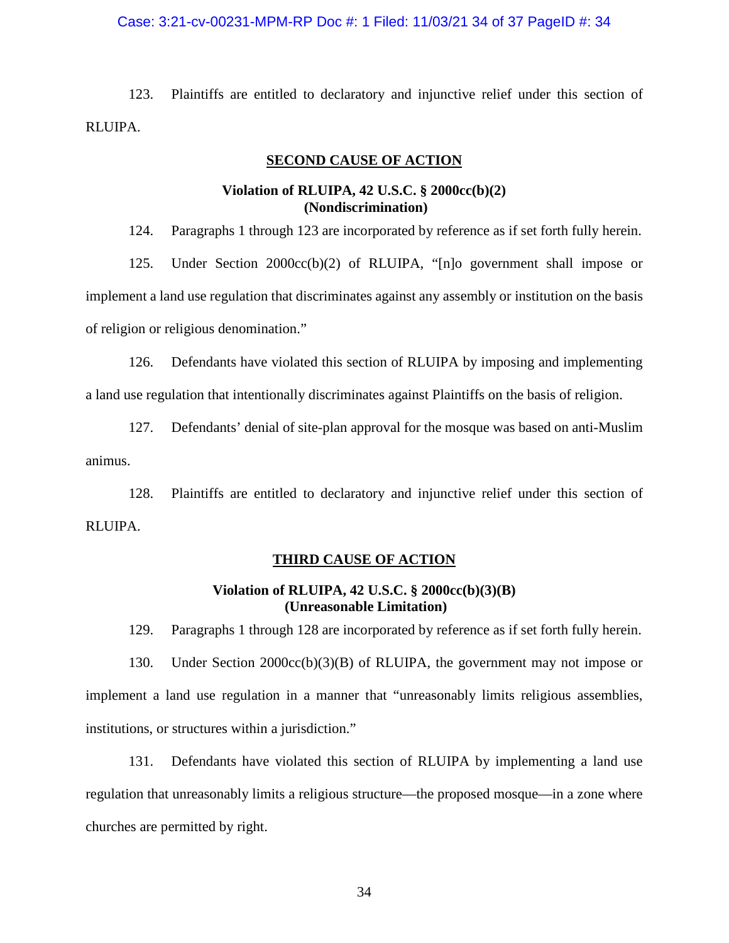### Case: 3:21-cv-00231-MPM-RP Doc #: 1 Filed: 11/03/21 34 of 37 PageID #: 34

123. Plaintiffs are entitled to declaratory and injunctive relief under this section of RLUIPA.

### **SECOND CAUSE OF ACTION**

# **Violation of RLUIPA, 42 U.S.C. § 2000cc(b)(2) (Nondiscrimination)**

124. Paragraphs 1 through 123 are incorporated by reference as if set forth fully herein.

125. Under Section 2000cc(b)(2) of RLUIPA, "[n]o government shall impose or implement a land use regulation that discriminates against any assembly or institution on the basis of religion or religious denomination."

126. Defendants have violated this section of RLUIPA by imposing and implementing a land use regulation that intentionally discriminates against Plaintiffs on the basis of religion.

127. Defendants' denial of site-plan approval for the mosque was based on anti-Muslim animus.

128. Plaintiffs are entitled to declaratory and injunctive relief under this section of RLUIPA.

### **THIRD CAUSE OF ACTION**

# **Violation of RLUIPA, 42 U.S.C. § 2000cc(b)(3)(B) (Unreasonable Limitation)**

129. Paragraphs 1 through 128 are incorporated by reference as if set forth fully herein.

130. Under Section 2000cc(b)(3)(B) of RLUIPA, the government may not impose or implement a land use regulation in a manner that "unreasonably limits religious assemblies, institutions, or structures within a jurisdiction."

131. Defendants have violated this section of RLUIPA by implementing a land use regulation that unreasonably limits a religious structure—the proposed mosque—in a zone where churches are permitted by right.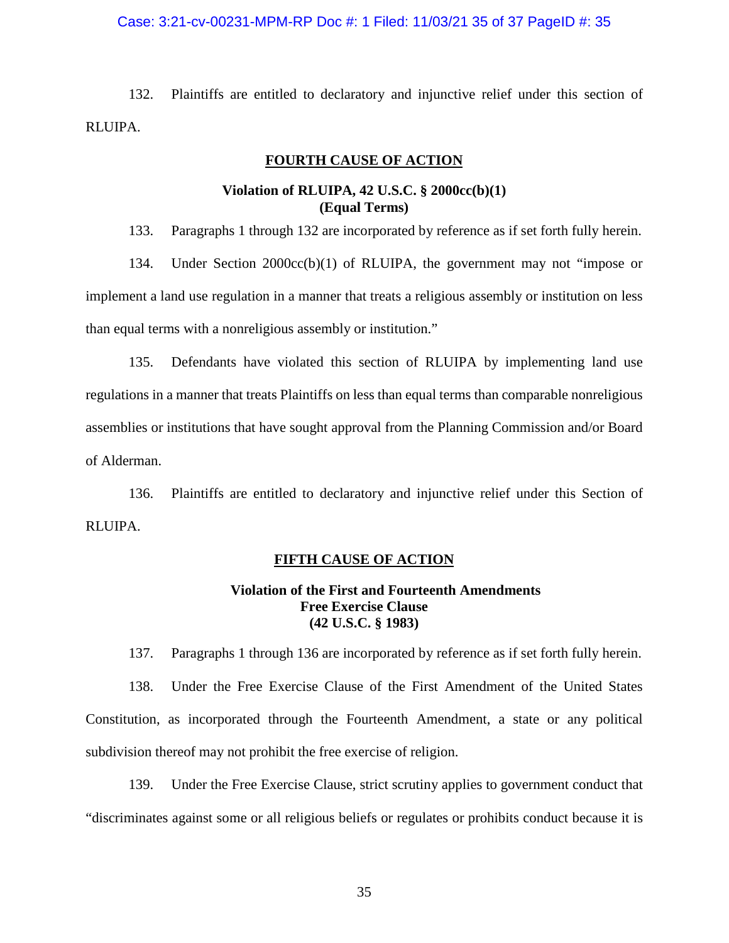### Case: 3:21-cv-00231-MPM-RP Doc #: 1 Filed: 11/03/21 35 of 37 PageID #: 35

132. Plaintiffs are entitled to declaratory and injunctive relief under this section of RLUIPA.

### **FOURTH CAUSE OF ACTION**

### **Violation of RLUIPA, 42 U.S.C. § 2000cc(b)(1) (Equal Terms)**

133. Paragraphs 1 through 132 are incorporated by reference as if set forth fully herein.

134. Under Section 2000cc(b)(1) of RLUIPA, the government may not "impose or implement a land use regulation in a manner that treats a religious assembly or institution on less than equal terms with a nonreligious assembly or institution."

135. Defendants have violated this section of RLUIPA by implementing land use regulations in a manner that treats Plaintiffs on less than equal terms than comparable nonreligious assemblies or institutions that have sought approval from the Planning Commission and/or Board of Alderman.

136. Plaintiffs are entitled to declaratory and injunctive relief under this Section of RLUIPA.

### **FIFTH CAUSE OF ACTION**

# **Violation of the First and Fourteenth Amendments Free Exercise Clause (42 U.S.C. § 1983)**

137. Paragraphs 1 through 136 are incorporated by reference as if set forth fully herein.

138. Under the Free Exercise Clause of the First Amendment of the United States Constitution, as incorporated through the Fourteenth Amendment, a state or any political subdivision thereof may not prohibit the free exercise of religion.

139. Under the Free Exercise Clause, strict scrutiny applies to government conduct that "discriminates against some or all religious beliefs or regulates or prohibits conduct because it is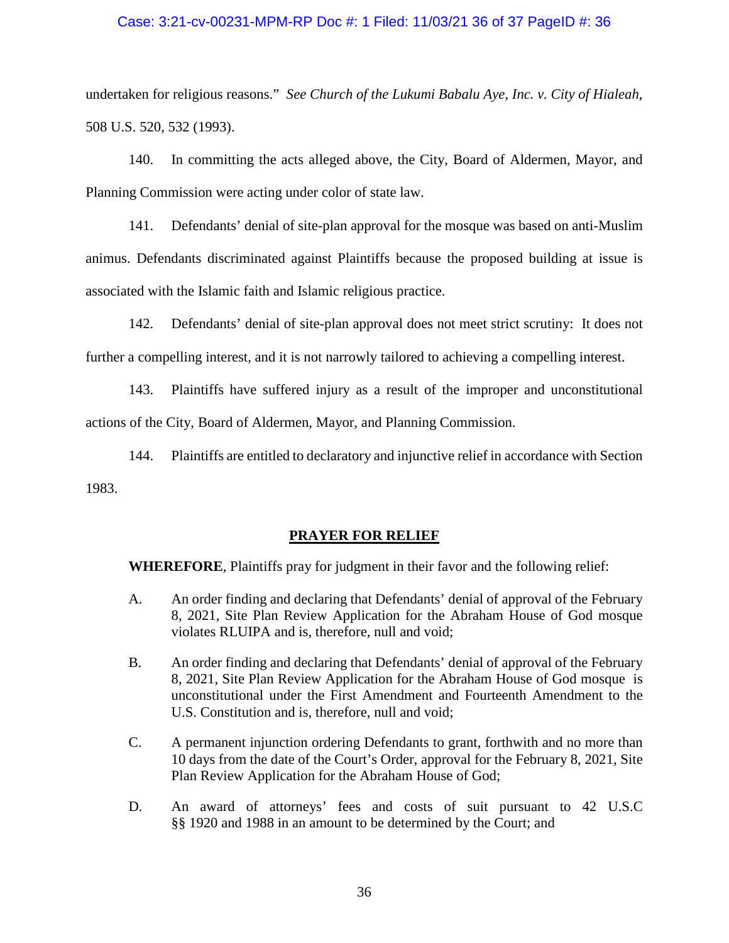### Case: 3:21-cv-00231-MPM-RP Doc #: 1 Filed: 11/03/21 36 of 37 PageID #: 36

undertaken for religious reasons." *See Church of the Lukumi Babalu Aye, Inc. v. City of Hialeah*, 508 U.S. 520, 532 (1993).

140. In committing the acts alleged above, the City, Board of Aldermen, Mayor, and Planning Commission were acting under color of state law.

141. Defendants' denial of site-plan approval for the mosque was based on anti-Muslim animus. Defendants discriminated against Plaintiffs because the proposed building at issue is associated with the Islamic faith and Islamic religious practice.

142. Defendants' denial of site-plan approval does not meet strict scrutiny: It does not further a compelling interest, and it is not narrowly tailored to achieving a compelling interest.

143. Plaintiffs have suffered injury as a result of the improper and unconstitutional actions of the City, Board of Aldermen, Mayor, and Planning Commission.

144. Plaintiffs are entitled to declaratory and injunctive relief in accordance with Section 1983.

# **PRAYER FOR RELIEF**

**WHEREFORE**, Plaintiffs pray for judgment in their favor and the following relief:

- A. An order finding and declaring that Defendants' denial of approval of the February 8, 2021, Site Plan Review Application for the Abraham House of God mosque violates RLUIPA and is, therefore, null and void;
- B. An order finding and declaring that Defendants' denial of approval of the February 8, 2021, Site Plan Review Application for the Abraham House of God mosque is unconstitutional under the First Amendment and Fourteenth Amendment to the U.S. Constitution and is, therefore, null and void;
- C. A permanent injunction ordering Defendants to grant, forthwith and no more than 10 days from the date of the Court's Order, approval for the February 8, 2021, Site Plan Review Application for the Abraham House of God;
- D. An award of attorneys' fees and costs of suit pursuant to 42 U.S.C §§ 1920 and 1988 in an amount to be determined by the Court; and